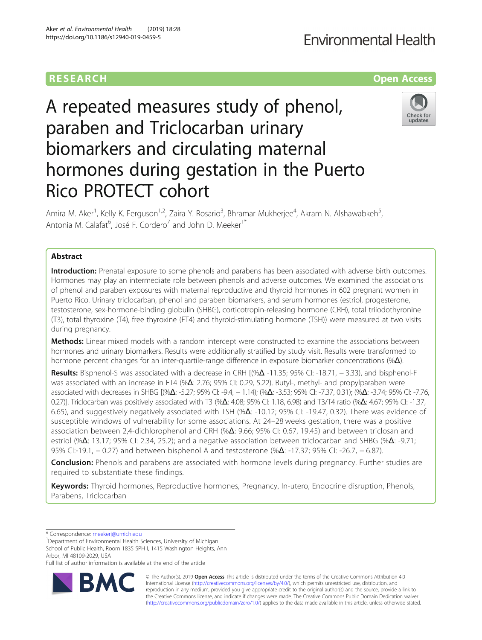# A repeated measures study of phenol, paraben and Triclocarban urinary biomarkers and circulating maternal hormones during gestation in the Puerto Rico PROTECT cohort

Amira M. Aker<sup>1</sup>, Kelly K. Ferguson<sup>1,2</sup>, Zaira Y. Rosario<sup>3</sup>, Bhramar Mukherjee<sup>4</sup>, Akram N. Alshawabkeh<sup>5</sup> , Antonia M. Calafat<sup>6</sup>, José F. Cordero<sup>7</sup> and John D. Meeker<sup>1\*</sup>

# Abstract

Introduction: Prenatal exposure to some phenols and parabens has been associated with adverse birth outcomes. Hormones may play an intermediate role between phenols and adverse outcomes. We examined the associations of phenol and paraben exposures with maternal reproductive and thyroid hormones in 602 pregnant women in Puerto Rico. Urinary triclocarban, phenol and paraben biomarkers, and serum hormones (estriol, progesterone, testosterone, sex-hormone-binding globulin (SHBG), corticotropin-releasing hormone (CRH), total triiodothyronine (T3), total thyroxine (T4), free thyroxine (FT4) and thyroid-stimulating hormone (TSH)) were measured at two visits during pregnancy.

**Methods:** Linear mixed models with a random intercept were constructed to examine the associations between hormones and urinary biomarkers. Results were additionally stratified by study visit. Results were transformed to hormone percent changes for an inter-quartile-range difference in exposure biomarker concentrations (%Δ).

Results: Bisphenol-S was associated with a decrease in CRH [(%Δ -11.35; 95% CI: -18.71, -3.33), and bisphenol-F was associated with an increase in FT4 (%Δ: 2.76; 95% CI: 0.29, 5.22). Butyl-, methyl- and propylparaben were associated with decreases in SHBG [(%Δ: -5.27; 95% CI: -9.4, − 1.14); (%Δ: -3.53; 95% CI: -7.37, 0.31); (%Δ: -3.74; 95% CI: -7.76, 0.27)]. Triclocarban was positively associated with T3 (%Δ: 4.08; 95% CI: 1.18, 6.98) and T3/T4 ratio (%Δ: 4.67; 95% CI: -1.37, 6.65), and suggestively negatively associated with TSH (%Δ: -10.12; 95% CI: -19.47, 0.32). There was evidence of susceptible windows of vulnerability for some associations. At 24–28 weeks gestation, there was a positive association between 2,4-dichlorophenol and CRH (%Δ: 9.66; 95% CI: 0.67, 19.45) and between triclosan and estriol (%Δ: 13.17; 95% CI: 2.34, 25.2); and a negative association between triclocarban and SHBG (%Δ: -9.71; 95% CI:-19.1, − 0.27) and between bisphenol A and testosterone (%Δ: -17.37; 95% CI: -26.7, − 6.87).

Conclusion: Phenols and parabens are associated with hormone levels during pregnancy. Further studies are required to substantiate these findings.

Keywords: Thyroid hormones, Reproductive hormones, Pregnancy, In-utero, Endocrine disruption, Phenols, Parabens, Triclocarban

<sup>1</sup>Department of Environmental Health Sciences, University of Michigan School of Public Health, Room 1835 SPH I, 1415 Washington Heights, Ann Arbor, MI 48109-2029, USA

Full list of author information is available at the end of the article

© The Author(s). 2019 **Open Access** This article is distributed under the terms of the Creative Commons Attribution 4.0 International License [\(http://creativecommons.org/licenses/by/4.0/](http://creativecommons.org/licenses/by/4.0/)), which permits unrestricted use, distribution, and reproduction in any medium, provided you give appropriate credit to the original author(s) and the source, provide a link to the Creative Commons license, and indicate if changes were made. The Creative Commons Public Domain Dedication waiver [\(http://creativecommons.org/publicdomain/zero/1.0/](http://creativecommons.org/publicdomain/zero/1.0/)) applies to the data made available in this article, unless otherwise stated.







<sup>\*</sup> Correspondence: [meekerj@umich.edu](mailto:meekerj@umich.edu) <sup>1</sup>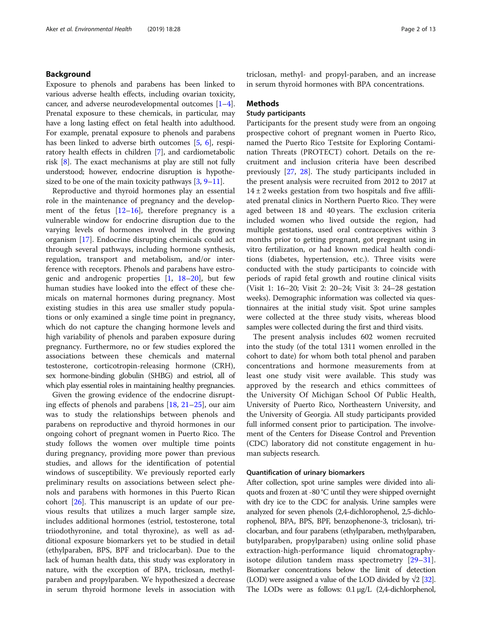# Background

Exposure to phenols and parabens has been linked to various adverse health effects, including ovarian toxicity, cancer, and adverse neurodevelopmental outcomes [[1](#page-10-0)–[4](#page-10-0)]. Prenatal exposure to these chemicals, in particular, may have a long lasting effect on fetal health into adulthood. For example, prenatal exposure to phenols and parabens has been linked to adverse birth outcomes [\[5](#page-10-0), [6](#page-10-0)], respiratory health effects in children [\[7\]](#page-10-0), and cardiometabolic risk [\[8](#page-10-0)]. The exact mechanisms at play are still not fully understood; however, endocrine disruption is hypothesized to be one of the main toxicity pathways  $[3, 9-11]$  $[3, 9-11]$  $[3, 9-11]$  $[3, 9-11]$  $[3, 9-11]$  $[3, 9-11]$ .

Reproductive and thyroid hormones play an essential role in the maintenance of pregnancy and the development of the fetus  $[12-16]$  $[12-16]$  $[12-16]$  $[12-16]$  $[12-16]$ , therefore pregnancy is a vulnerable window for endocrine disruption due to the varying levels of hormones involved in the growing organism [\[17\]](#page-10-0). Endocrine disrupting chemicals could act through several pathways, including hormone synthesis, regulation, transport and metabolism, and/or interference with receptors. Phenols and parabens have estrogenic and androgenic properties  $[1, 18-20]$  $[1, 18-20]$  $[1, 18-20]$  $[1, 18-20]$  $[1, 18-20]$  $[1, 18-20]$ , but few human studies have looked into the effect of these chemicals on maternal hormones during pregnancy. Most existing studies in this area use smaller study populations or only examined a single time point in pregnancy, which do not capture the changing hormone levels and high variability of phenols and paraben exposure during pregnancy. Furthermore, no or few studies explored the associations between these chemicals and maternal testosterone, corticotropin-releasing hormone (CRH), sex hormone-binding globulin (SHBG) and estriol, all of which play essential roles in maintaining healthy pregnancies.

Given the growing evidence of the endocrine disrupting effects of phenols and parabens [[18,](#page-10-0) [21](#page-10-0)–[25\]](#page-11-0), our aim was to study the relationships between phenols and parabens on reproductive and thyroid hormones in our ongoing cohort of pregnant women in Puerto Rico. The study follows the women over multiple time points during pregnancy, providing more power than previous studies, and allows for the identification of potential windows of susceptibility. We previously reported early preliminary results on associations between select phenols and parabens with hormones in this Puerto Rican cohort [\[26](#page-11-0)]. This manuscript is an update of our previous results that utilizes a much larger sample size, includes additional hormones (estriol, testosterone, total triiodothyronine, and total thyroxine), as well as additional exposure biomarkers yet to be studied in detail (ethylparaben, BPS, BPF and triclocarban). Due to the lack of human health data, this study was exploratory in nature, with the exception of BPA, triclosan, methylparaben and propylparaben. We hypothesized a decrease in serum thyroid hormone levels in association with triclosan, methyl- and propyl-paraben, and an increase in serum thyroid hormones with BPA concentrations.

# Methods

# Study participants

Participants for the present study were from an ongoing prospective cohort of pregnant women in Puerto Rico, named the Puerto Rico Testsite for Exploring Contamination Threats (PROTECT) cohort. Details on the recruitment and inclusion criteria have been described previously [\[27](#page-11-0), [28\]](#page-11-0). The study participants included in the present analysis were recruited from 2012 to 2017 at  $14 \pm 2$  weeks gestation from two hospitals and five affiliated prenatal clinics in Northern Puerto Rico. They were aged between 18 and 40 years. The exclusion criteria included women who lived outside the region, had multiple gestations, used oral contraceptives within 3 months prior to getting pregnant, got pregnant using in vitro fertilization, or had known medical health conditions (diabetes, hypertension, etc.). Three visits were conducted with the study participants to coincide with periods of rapid fetal growth and routine clinical visits (Visit 1: 16–20; Visit 2: 20–24; Visit 3: 24–28 gestation weeks). Demographic information was collected via questionnaires at the initial study visit. Spot urine samples were collected at the three study visits, whereas blood samples were collected during the first and third visits.

The present analysis includes 602 women recruited into the study (of the total 1311 women enrolled in the cohort to date) for whom both total phenol and paraben concentrations and hormone measurements from at least one study visit were available. This study was approved by the research and ethics committees of the University Of Michigan School Of Public Health, University of Puerto Rico, Northeastern University, and the University of Georgia. All study participants provided full informed consent prior to participation. The involvement of the Centers for Disease Control and Prevention (CDC) laboratory did not constitute engagement in human subjects research.

# Quantification of urinary biomarkers

After collection, spot urine samples were divided into aliquots and frozen at -80 °C until they were shipped overnight with dry ice to the CDC for analysis. Urine samples were analyzed for seven phenols (2,4-dichlorophenol, 2,5-dichlorophenol, BPA, BPS, BPF, benzophenone-3, triclosan), triclocarban, and four parabens (ethylparaben, methylparaben, butylparaben, propylparaben) using online solid phase extraction-high-performance liquid chromatographyisotope dilution tandem mass spectrometry [\[29](#page-11-0)–[31](#page-11-0)]. Biomarker concentrations below the limit of detection (LOD) were assigned a value of the LOD divided by  $\sqrt{2}$  [\[32](#page-11-0)]. The LODs were as follows: 0.1 μg/L (2,4-dichlorphenol,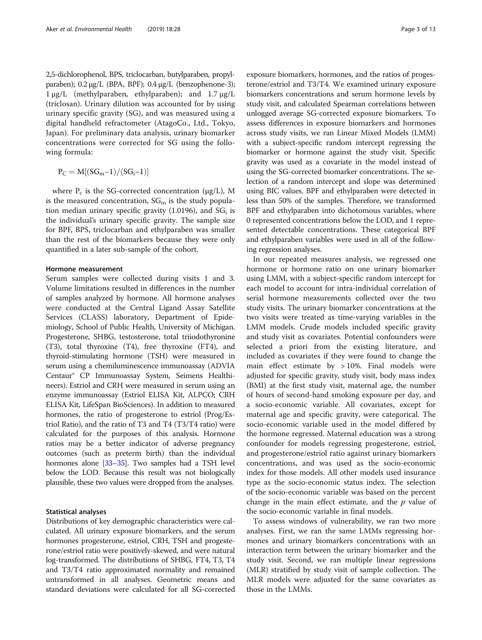2,5-dichlorophenol, BPS, triclocarban, butylparaben, propylparaben); 0.2 μg/L (BPA, BPF); 0.4 μg/L (benzophenone-3); 1 μg/L (methylparaben, ethylparaben); and 1.7 μg/L (triclosan). Urinary dilution was accounted for by using urinary specific gravity (SG), and was measured using a digital handheld refractometer (AtagoCo., Ltd., Tokyo, Japan). For preliminary data analysis, urinary biomarker concentrations were corrected for SG using the following formula:

$$
P_C = M[(SG_m-1)/(SG_i-1)]
$$

where  $P_c$  is the SG-corrected concentration ( $\mu$ g/L), M is the measured concentration,  $SG<sub>m</sub>$  is the study population median urinary specific gravity (1.0196), and  $SG<sub>i</sub>$  is the individual's urinary specific gravity. The sample size for BPF, BPS, triclocarban and ethylparaben was smaller than the rest of the biomarkers because they were only quantified in a later sub-sample of the cohort.

# Hormone measurement

Serum samples were collected during visits 1 and 3. Volume limitations resulted in differences in the number of samples analyzed by hormone. All hormone analyses were conducted at the Central Ligand Assay Satellite Services (CLASS) laboratory, Department of Epidemiology, School of Public Health, University of Michigan. Progesterone, SHBG, testosterone, total triiodothyronine (T3), total thyroxine (T4), free thyroxine (FT4), and thyroid-stimulating hormone (TSH) were measured in serum using a chemiluminescence immunoassay (ADVIA Centaur® CP Immunoassay System, Seimens Healthineers). Estriol and CRH were measured in serum using an enzyme immunoassay (Estriol ELISA Kit, ALPCO; CRH ELISA Kit, LifeSpan BioSciences). In addition to measured hormones, the ratio of progesterone to estriol (Prog/Estriol Ratio), and the ratio of T3 and T4 (T3/T4 ratio) were calculated for the purposes of this analysis. Hormone ratios may be a better indicator of adverse pregnancy outcomes (such as preterm birth) than the individual hormones alone [[33](#page-11-0)–[35](#page-11-0)]. Two samples had a TSH level below the LOD. Because this result was not biologically plausible, these two values were dropped from the analyses.

### Statistical analyses

Distributions of key demographic characteristics were calculated. All urinary exposure biomarkers, and the serum hormones progesterone, estriol, CRH, TSH and progesterone/estriol ratio were positively-skewed, and were natural log-transformed. The distributions of SHBG, FT4, T3, T4 and T3/T4 ratio approximated normality and remained untransformed in all analyses. Geometric means and standard deviations were calculated for all SG-corrected

exposure biomarkers, hormones, and the ratios of progesterone/estriol and T3/T4. We examined urinary exposure biomarkers concentrations and serum hormone levels by study visit, and calculated Spearman correlations between unlogged average SG-corrected exposure biomarkers. To assess differences in exposure biomarkers and hormones across study visits, we ran Linear Mixed Models (LMM) with a subject-specific random intercept regressing the biomarker or hormone against the study visit. Specific gravity was used as a covariate in the model instead of using the SG-corrected biomarker concentrations. The selection of a random intercept and slope was determined using BIC values. BPF and ethylparaben were detected in less than 50% of the samples. Therefore, we transformed BPF and ethylparaben into dichotomous variables, where 0 represented concentrations below the LOD, and 1 represented detectable concentrations. These categorical BPF and ethylparaben variables were used in all of the following regression analyses.

In our repeated measures analysis, we regressed one hormone or hormone ratio on one urinary biomarker using LMM, with a subject-specific random intercept for each model to account for intra-individual correlation of serial hormone measurements collected over the two study visits. The urinary biomarker concentrations at the two visits were treated as time-varying variables in the LMM models. Crude models included specific gravity and study visit as covariates. Potential confounders were selected a priori from the existing literature, and included as covariates if they were found to change the main effect estimate by  $>10\%$ . Final models were adjusted for specific gravity, study visit, body mass index (BMI) at the first study visit, maternal age, the number of hours of second-hand smoking exposure per day, and a socio-economic variable. All covariates, except for maternal age and specific gravity, were categorical. The socio-economic variable used in the model differed by the hormone regressed. Maternal education was a strong confounder for models regressing progesterone, estriol, and progesterone/estriol ratio against urinary biomarkers concentrations, and was used as the socio-economic index for those models. All other models used insurance type as the socio-economic status index. The selection of the socio-economic variable was based on the percent change in the main effect estimate, and the  $p$  value of the socio-economic variable in final models.

To assess windows of vulnerability, we ran two more analyses. First, we ran the same LMMs regressing hormones and urinary biomarkers concentrations with an interaction term between the urinary biomarker and the study visit. Second, we ran multiple linear regressions (MLR) stratified by study visit of sample collection. The MLR models were adjusted for the same covariates as those in the LMMs.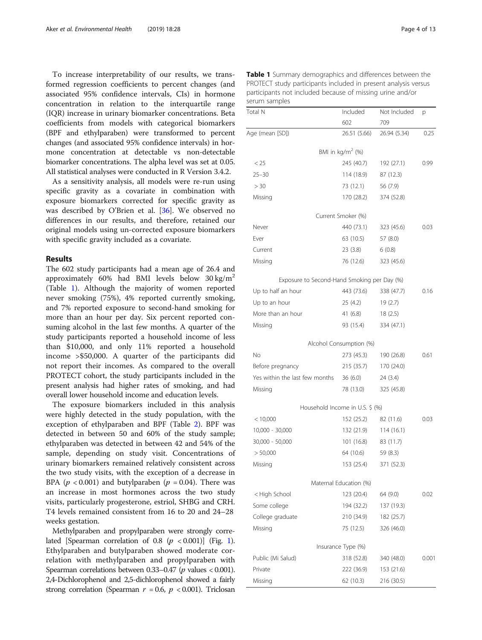To increase interpretability of our results, we transformed regression coefficients to percent changes (and associated 95% confidence intervals, CIs) in hormone concentration in relation to the interquartile range (IQR) increase in urinary biomarker concentrations. Beta coefficients from models with categorical biomarkers (BPF and ethylparaben) were transformed to percent changes (and associated 95% confidence intervals) in hormone concentration at detectable vs non-detectable biomarker concentrations. The alpha level was set at 0.05. All statistical analyses were conducted in R Version 3.4.2.

As a sensitivity analysis, all models were re-run using specific gravity as a covariate in combination with exposure biomarkers corrected for specific gravity as was described by O'Brien et al. [[36\]](#page-11-0). We observed no differences in our results, and therefore, retained our original models using un-corrected exposure biomarkers with specific gravity included as a covariate.

# Results

The 602 study participants had a mean age of 26.4 and approximately 60% had BMI levels below  $30 \text{ kg/m}^2$ (Table 1). Although the majority of women reported never smoking (75%), 4% reported currently smoking, and 7% reported exposure to second-hand smoking for more than an hour per day. Six percent reported consuming alcohol in the last few months. A quarter of the study participants reported a household income of less than \$10,000, and only 11% reported a household income >\$50,000. A quarter of the participants did not report their incomes. As compared to the overall PROTECT cohort, the study participants included in the present analysis had higher rates of smoking, and had overall lower household income and education levels.

The exposure biomarkers included in this analysis were highly detected in the study population, with the exception of ethylparaben and BPF (Table [2\)](#page-4-0). BPF was detected in between 50 and 60% of the study sample; ethylparaben was detected in between 42 and 54% of the sample, depending on study visit. Concentrations of urinary biomarkers remained relatively consistent across the two study visits, with the exception of a decrease in BPA ( $p < 0.001$ ) and butylparaben ( $p = 0.04$ ). There was an increase in most hormones across the two study visits, particularly progesterone, estriol, SHBG and CRH. T4 levels remained consistent from 16 to 20 and 24–28 weeks gestation.

Methylparaben and propylparaben were strongly correlated [Spearman correlation of 0.8  $(p < 0.001)$  $(p < 0.001)$  $(p < 0.001)$ ] (Fig. 1). Ethylparaben and butylparaben showed moderate correlation with methylparaben and propylparaben with Spearman correlations between  $0.33-0.47$  (*p* values < 0.001). 2,4-Dichlorophenol and 2,5-dichlorophenol showed a fairly strong correlation (Spearman  $r = 0.6$ ,  $p < 0.001$ ). Triclosan Table 1 Summary demographics and differences between the PROTECT study participants included in present analysis versus participants not included because of missing urine and/or serum samples

| 602<br>709<br>26.51 (5.66)<br>26.94 (5.34)<br>BMI in $\text{kg/m}^2$ (%)<br>< 25<br>245 (40.7)<br>192 (27.1)<br>0.99<br>$25 - 30$<br>114 (18.9)<br>87 (12.3)<br>> 30<br>73 (12.1)<br>56 (7.9)<br>170 (28.2)<br>Missing<br>374 (52.8)<br>Current Smoker (%)<br>Never<br>440 (73.1)<br>323 (45.6)<br>0.03<br>Ever<br>63 (10.5)<br>57 (8.0)<br>Current<br>23 (3.8)<br>6(0.8)<br>Missing<br>76 (12.6)<br>323 (45.6)<br>Exposure to Second-Hand Smoking per Day (%)<br>Up to half an hour<br>443 (73.6)<br>338 (47.7)<br>0.16<br>Up to an hour<br>25 (4.2)<br>19(2.7)<br>More than an hour<br>41 (6.8)<br>18(2.5)<br>Missing<br>93 (15.4)<br>334 (47.1)<br>Alcohol Consumption (%)<br>No<br>273 (45.3)<br>190 (26.8)<br>0.61<br>Before pregnancy<br>215 (35.7)<br>170 (24.0)<br>Yes within the last few months<br>36 (6.0)<br>24 (3.4)<br>325 (45.8)<br>Missing<br>78 (13.0)<br>Household Income in U.S. \$ (%)<br>152 (25.2)<br>< 10,000<br>82 (11.6)<br>0.03<br>10,000 - 30,000<br>132 (21.9)<br>114(16.1)<br>30,000 - 50,000<br>101 (16.8)<br>83 (11.7)<br>> 50,000<br>64 (10.6)<br>59 (8.3)<br>153 (25.4)<br>Missing<br>371 (52.3)<br>Maternal Education (%)<br><high school<br="">123 (20.4)<br/>64 (9.0)<br/>0.02<br/>Some college<br/>194 (32.2)<br/>137 (19.3)<br/>College graduate<br/>210 (34.9)<br/>182 (25.7)<br/>Missing<br/>75 (12.5)<br/>326 (46.0)<br/>Insurance Type (%)<br/>Public (Mi Salud)<br/>318 (52.8)<br/>340 (48.0)<br/>0.001<br/>Private<br/>222 (36.9)<br/>153 (21.6)</high> | Total N         | Included  | Not Included | р    |
|-----------------------------------------------------------------------------------------------------------------------------------------------------------------------------------------------------------------------------------------------------------------------------------------------------------------------------------------------------------------------------------------------------------------------------------------------------------------------------------------------------------------------------------------------------------------------------------------------------------------------------------------------------------------------------------------------------------------------------------------------------------------------------------------------------------------------------------------------------------------------------------------------------------------------------------------------------------------------------------------------------------------------------------------------------------------------------------------------------------------------------------------------------------------------------------------------------------------------------------------------------------------------------------------------------------------------------------------------------------------------------------------------------------------------------------------------------------------------------------------------------|-----------------|-----------|--------------|------|
|                                                                                                                                                                                                                                                                                                                                                                                                                                                                                                                                                                                                                                                                                                                                                                                                                                                                                                                                                                                                                                                                                                                                                                                                                                                                                                                                                                                                                                                                                                     |                 |           |              |      |
|                                                                                                                                                                                                                                                                                                                                                                                                                                                                                                                                                                                                                                                                                                                                                                                                                                                                                                                                                                                                                                                                                                                                                                                                                                                                                                                                                                                                                                                                                                     | Age (mean [SD]) |           |              | 0.25 |
|                                                                                                                                                                                                                                                                                                                                                                                                                                                                                                                                                                                                                                                                                                                                                                                                                                                                                                                                                                                                                                                                                                                                                                                                                                                                                                                                                                                                                                                                                                     |                 |           |              |      |
|                                                                                                                                                                                                                                                                                                                                                                                                                                                                                                                                                                                                                                                                                                                                                                                                                                                                                                                                                                                                                                                                                                                                                                                                                                                                                                                                                                                                                                                                                                     |                 |           |              |      |
|                                                                                                                                                                                                                                                                                                                                                                                                                                                                                                                                                                                                                                                                                                                                                                                                                                                                                                                                                                                                                                                                                                                                                                                                                                                                                                                                                                                                                                                                                                     |                 |           |              |      |
|                                                                                                                                                                                                                                                                                                                                                                                                                                                                                                                                                                                                                                                                                                                                                                                                                                                                                                                                                                                                                                                                                                                                                                                                                                                                                                                                                                                                                                                                                                     |                 |           |              |      |
|                                                                                                                                                                                                                                                                                                                                                                                                                                                                                                                                                                                                                                                                                                                                                                                                                                                                                                                                                                                                                                                                                                                                                                                                                                                                                                                                                                                                                                                                                                     |                 |           |              |      |
|                                                                                                                                                                                                                                                                                                                                                                                                                                                                                                                                                                                                                                                                                                                                                                                                                                                                                                                                                                                                                                                                                                                                                                                                                                                                                                                                                                                                                                                                                                     |                 |           |              |      |
|                                                                                                                                                                                                                                                                                                                                                                                                                                                                                                                                                                                                                                                                                                                                                                                                                                                                                                                                                                                                                                                                                                                                                                                                                                                                                                                                                                                                                                                                                                     |                 |           |              |      |
|                                                                                                                                                                                                                                                                                                                                                                                                                                                                                                                                                                                                                                                                                                                                                                                                                                                                                                                                                                                                                                                                                                                                                                                                                                                                                                                                                                                                                                                                                                     |                 |           |              |      |
|                                                                                                                                                                                                                                                                                                                                                                                                                                                                                                                                                                                                                                                                                                                                                                                                                                                                                                                                                                                                                                                                                                                                                                                                                                                                                                                                                                                                                                                                                                     |                 |           |              |      |
|                                                                                                                                                                                                                                                                                                                                                                                                                                                                                                                                                                                                                                                                                                                                                                                                                                                                                                                                                                                                                                                                                                                                                                                                                                                                                                                                                                                                                                                                                                     |                 |           |              |      |
|                                                                                                                                                                                                                                                                                                                                                                                                                                                                                                                                                                                                                                                                                                                                                                                                                                                                                                                                                                                                                                                                                                                                                                                                                                                                                                                                                                                                                                                                                                     |                 |           |              |      |
|                                                                                                                                                                                                                                                                                                                                                                                                                                                                                                                                                                                                                                                                                                                                                                                                                                                                                                                                                                                                                                                                                                                                                                                                                                                                                                                                                                                                                                                                                                     |                 |           |              |      |
|                                                                                                                                                                                                                                                                                                                                                                                                                                                                                                                                                                                                                                                                                                                                                                                                                                                                                                                                                                                                                                                                                                                                                                                                                                                                                                                                                                                                                                                                                                     |                 |           |              |      |
|                                                                                                                                                                                                                                                                                                                                                                                                                                                                                                                                                                                                                                                                                                                                                                                                                                                                                                                                                                                                                                                                                                                                                                                                                                                                                                                                                                                                                                                                                                     |                 |           |              |      |
|                                                                                                                                                                                                                                                                                                                                                                                                                                                                                                                                                                                                                                                                                                                                                                                                                                                                                                                                                                                                                                                                                                                                                                                                                                                                                                                                                                                                                                                                                                     |                 |           |              |      |
|                                                                                                                                                                                                                                                                                                                                                                                                                                                                                                                                                                                                                                                                                                                                                                                                                                                                                                                                                                                                                                                                                                                                                                                                                                                                                                                                                                                                                                                                                                     |                 |           |              |      |
|                                                                                                                                                                                                                                                                                                                                                                                                                                                                                                                                                                                                                                                                                                                                                                                                                                                                                                                                                                                                                                                                                                                                                                                                                                                                                                                                                                                                                                                                                                     |                 |           |              |      |
|                                                                                                                                                                                                                                                                                                                                                                                                                                                                                                                                                                                                                                                                                                                                                                                                                                                                                                                                                                                                                                                                                                                                                                                                                                                                                                                                                                                                                                                                                                     |                 |           |              |      |
|                                                                                                                                                                                                                                                                                                                                                                                                                                                                                                                                                                                                                                                                                                                                                                                                                                                                                                                                                                                                                                                                                                                                                                                                                                                                                                                                                                                                                                                                                                     |                 |           |              |      |
|                                                                                                                                                                                                                                                                                                                                                                                                                                                                                                                                                                                                                                                                                                                                                                                                                                                                                                                                                                                                                                                                                                                                                                                                                                                                                                                                                                                                                                                                                                     |                 |           |              |      |
|                                                                                                                                                                                                                                                                                                                                                                                                                                                                                                                                                                                                                                                                                                                                                                                                                                                                                                                                                                                                                                                                                                                                                                                                                                                                                                                                                                                                                                                                                                     |                 |           |              |      |
|                                                                                                                                                                                                                                                                                                                                                                                                                                                                                                                                                                                                                                                                                                                                                                                                                                                                                                                                                                                                                                                                                                                                                                                                                                                                                                                                                                                                                                                                                                     |                 |           |              |      |
|                                                                                                                                                                                                                                                                                                                                                                                                                                                                                                                                                                                                                                                                                                                                                                                                                                                                                                                                                                                                                                                                                                                                                                                                                                                                                                                                                                                                                                                                                                     |                 |           |              |      |
|                                                                                                                                                                                                                                                                                                                                                                                                                                                                                                                                                                                                                                                                                                                                                                                                                                                                                                                                                                                                                                                                                                                                                                                                                                                                                                                                                                                                                                                                                                     |                 |           |              |      |
|                                                                                                                                                                                                                                                                                                                                                                                                                                                                                                                                                                                                                                                                                                                                                                                                                                                                                                                                                                                                                                                                                                                                                                                                                                                                                                                                                                                                                                                                                                     |                 |           |              |      |
|                                                                                                                                                                                                                                                                                                                                                                                                                                                                                                                                                                                                                                                                                                                                                                                                                                                                                                                                                                                                                                                                                                                                                                                                                                                                                                                                                                                                                                                                                                     |                 |           |              |      |
|                                                                                                                                                                                                                                                                                                                                                                                                                                                                                                                                                                                                                                                                                                                                                                                                                                                                                                                                                                                                                                                                                                                                                                                                                                                                                                                                                                                                                                                                                                     |                 |           |              |      |
|                                                                                                                                                                                                                                                                                                                                                                                                                                                                                                                                                                                                                                                                                                                                                                                                                                                                                                                                                                                                                                                                                                                                                                                                                                                                                                                                                                                                                                                                                                     |                 |           |              |      |
|                                                                                                                                                                                                                                                                                                                                                                                                                                                                                                                                                                                                                                                                                                                                                                                                                                                                                                                                                                                                                                                                                                                                                                                                                                                                                                                                                                                                                                                                                                     |                 |           |              |      |
|                                                                                                                                                                                                                                                                                                                                                                                                                                                                                                                                                                                                                                                                                                                                                                                                                                                                                                                                                                                                                                                                                                                                                                                                                                                                                                                                                                                                                                                                                                     |                 |           |              |      |
|                                                                                                                                                                                                                                                                                                                                                                                                                                                                                                                                                                                                                                                                                                                                                                                                                                                                                                                                                                                                                                                                                                                                                                                                                                                                                                                                                                                                                                                                                                     |                 |           |              |      |
|                                                                                                                                                                                                                                                                                                                                                                                                                                                                                                                                                                                                                                                                                                                                                                                                                                                                                                                                                                                                                                                                                                                                                                                                                                                                                                                                                                                                                                                                                                     |                 |           |              |      |
|                                                                                                                                                                                                                                                                                                                                                                                                                                                                                                                                                                                                                                                                                                                                                                                                                                                                                                                                                                                                                                                                                                                                                                                                                                                                                                                                                                                                                                                                                                     |                 |           |              |      |
|                                                                                                                                                                                                                                                                                                                                                                                                                                                                                                                                                                                                                                                                                                                                                                                                                                                                                                                                                                                                                                                                                                                                                                                                                                                                                                                                                                                                                                                                                                     |                 |           |              |      |
|                                                                                                                                                                                                                                                                                                                                                                                                                                                                                                                                                                                                                                                                                                                                                                                                                                                                                                                                                                                                                                                                                                                                                                                                                                                                                                                                                                                                                                                                                                     |                 |           |              |      |
|                                                                                                                                                                                                                                                                                                                                                                                                                                                                                                                                                                                                                                                                                                                                                                                                                                                                                                                                                                                                                                                                                                                                                                                                                                                                                                                                                                                                                                                                                                     | Missing         | 62 (10.3) | 216 (30.5)   |      |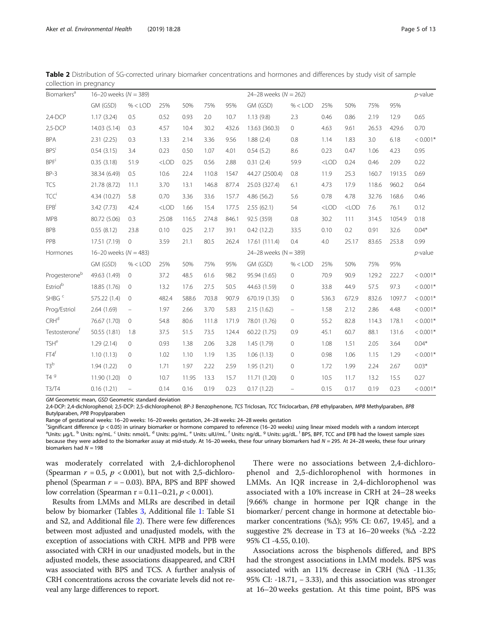| Biomarkers <sup>a</sup>   | 16-20 weeks ( $N = 389$ ) |                          |         |       |       | 24-28 weeks ( $N = 262$ ) |                           |              |         |         |       | $p$ -value |            |
|---------------------------|---------------------------|--------------------------|---------|-------|-------|---------------------------|---------------------------|--------------|---------|---------|-------|------------|------------|
|                           | GM (GSD)                  | $% <$ LOD                | 25%     | 50%   | 75%   | 95%                       | GM (GSD)                  | $% <$ LOD    | 25%     | 50%     | 75%   | 95%        |            |
| 2,4-DCP                   | 1.17(3.24)                | 0.5                      | 0.52    | 0.93  | 2.0   | 10.7                      | 1.13(9.8)                 | 2.3          | 0.46    | 0.86    | 2.19  | 12.9       | 0.65       |
| $2.5 - DCP$               | 14.03 (5.14)              | 0.3                      | 4.57    | 10.4  | 30.2  | 432.6                     | 13.63 (360.3)             | $\circ$      | 4.63    | 9.61    | 26.53 | 429.6      | 0.70       |
| <b>BPA</b>                | 2.31(2.25)                | 0.3                      | 1.33    | 2.14  | 3.36  | 9.56                      | 1.88(2.4)                 | 0.8          | 1.14    | 1.83    | 3.0   | 6.18       | $< 0.001*$ |
| <b>BPS</b>                | 0.54(3.15)                | 3.4                      | 0.23    | 0.50  | 1.07  | 4.01                      | 0.54(5.2)                 | 8.6          | 0.23    | 0.47    | 1.06  | 4.23       | 0.95       |
| BPF <sup>i</sup>          | 0.35(3.18)                | 51.9                     | $<$ LOD | 0.25  | 0.56  | 2.88                      | 0.31(2.4)                 | 59.9         | $<$ LOD | 0.24    | 0.46  | 2.09       | 0.22       |
| BP-3                      | 38.34 (6.49)              | 0.5                      | 10.6    | 22.4  | 110.8 | 1547                      | 44.27 (2500.4)            | 0.8          | 11.9    | 25.3    | 160.7 | 1913.5     | 0.69       |
| <b>TCS</b>                | 21.78 (8.72)              | 11.1                     | 3.70    | 13.1  | 146.8 | 877.4                     | 25.03 (327.4)             | 6.1          | 4.73    | 17.9    | 118.6 | 960.2      | 0.64       |
| <b>TCC</b>                | 4.34 (10.27)              | 5.8                      | 0.70    | 3.36  | 33.6  | 157.7                     | 4.86 (56.2)               | 5.6          | 0.78    | 4.78    | 32.76 | 168.6      | 0.46       |
| <b>EPB</b>                | 3.42(7.73)                | 42.4                     | $<$ LOD | 1.66  | 15.4  | 177.5                     | 2.55(62.1)                | 54           | $<$ LOD | $<$ LOD | 7.6   | 76.1       | 0.12       |
| <b>MPB</b>                | 80.72 (5.06)              | 0.3                      | 25.08   | 116.5 | 274.8 | 846.1                     | 92.5 (359)                | 0.8          | 30.2    | 111     | 314.5 | 1054.9     | 0.18       |
| <b>BPB</b>                | 0.55(8.12)                | 23.8                     | 0.10    | 0.25  | 2.17  | 39.1                      | 0.42(12.2)                | 33.5         | 0.10    | 0.2     | 0.91  | 32.6       | $0.04*$    |
| PPB                       | 17.51 (7.19)              | $\mathbf{0}$             | 3.59    | 21.1  | 80.5  | 262.4                     | 17.61 (111.4)             | 0.4          | 4.0     | 25.17   | 83.65 | 253.8      | 0.99       |
| Hormones                  | 16-20 weeks ( $N = 483$ ) |                          |         |       |       |                           | 24-28 weeks ( $N = 389$ ) |              |         |         |       |            | $p$ -value |
|                           | GM (GSD)                  | $% <$ LOD                | 25%     | 50%   | 75%   | 95%                       | GM (GSD)                  | $% <$ LOD    | 25%     | 50%     | 75%   | 95%        |            |
| Progesteroneb             | 49.63 (1.49)              | $\mathbf{0}$             | 37.2    | 48.5  | 61.6  | 98.2                      | 95.94 (1.65)              | 0            | 70.9    | 90.9    | 129.2 | 222.7      | $< 0.001*$ |
| Estriol <sup>b</sup>      | 18.85 (1.76)              | $\mathbf 0$              | 13.2    | 17.6  | 27.5  | 50.5                      | 44.63 (1.59)              | 0            | 33.8    | 44.9    | 57.5  | 97.3       | $< 0.001*$ |
| SHBG <sup>c</sup>         | 575.22 (1.4)              | $\mathbf{0}$             | 482.4   | 588.6 | 703.8 | 907.9                     | 670.19 (1.35)             | 0            | 536.3   | 672.9   | 832.6 | 1097.7     | $< 0.001*$ |
| Prog/Estriol              | 2.64(1.69)                | $\qquad \qquad -$        | 1.97    | 2.66  | 3.70  | 5.83                      | 2.15 (1.62)               | $\equiv$     | 1.58    | 2.12    | 2.86  | 4.48       | $< 0.001*$ |
| CRH <sup>d</sup>          | 76.67 (1.70)              | $\mathbf{0}$             | 54.8    | 80.6  | 111.8 | 171.9                     | 78.01 (1.76)              | $\mathbf{0}$ | 55.2    | 82.8    | 114.3 | 178.1      | $< 0.001*$ |
| Testosterone <sup>t</sup> | 50.55 (1.81)              | 1.8                      | 37.5    | 51.5  | 73.5  | 124.4                     | 60.22 (1.75)              | 0.9          | 45.1    | 60.7    | 88.1  | 131.6      | $< 0.001*$ |
| <b>TSH<sup>e</sup></b>    | 1.29(2.14)                | 0                        | 0.93    | 1.38  | 2.06  | 3.28                      | 1.45 (1.79)               | 0            | 1.08    | 1.51    | 2.05  | 3.64       | $0.04*$    |
| $FT4^f$                   | 1.10(1.13)                | 0                        | 1.02    | 1.10  | 1.19  | 1.35                      | 1.06(1.13)                | 0            | 0.98    | 1.06    | 1.15  | 1.29       | $< 0.001*$ |
| T3 <sup>b</sup>           | 1.94(1.22)                | 0                        | 1.71    | 1.97  | 2.22  | 2.59                      | 1.95(1.21)                | 0            | 1.72    | 1.99    | 2.24  | 2.67       | $0.03*$    |
| T4 <sup>9</sup>           | 11.90 (1.20)              | 0                        | 10.7    | 11.95 | 13.3  | 15.7                      | 11.71 (1.20)              | 0            | 10.5    | 11.7    | 13.2  | 15.5       | 0.27       |
| T3/T4                     | 0.16(1.21)                | $\overline{\phantom{0}}$ | 0.14    | 0.16  | 0.19  | 0.23                      | 0.17(1.22)                | ÷            | 0.15    | 0.17    | 0.19  | 0.23       | $< 0.001*$ |

<span id="page-4-0"></span>Table 2 Distribution of SG-corrected urinary biomarker concentrations and hormones and differences by study visit of sample collection in pregnancy

GM Geometric mean, GSD Geometric standard deviation

2,4-DCP: 2,4-dichlorophenol; 2,5-DCP: 2,5-dichlorophenol; BP-3 Benzophenone, TCS Triclosan, TCC Triclocarban, EPB ethylparaben, MPB Methylparaben, BPB Butylparaben, PPB Propylparaben

Range of gestational weeks: 16–20 weeks: 16–20 weeks gestation, 24–28 weeks: 24–28 weeks gestation<br>\*Significant difference (p < 0.05) in urinary biomarker or hormone compared to reference (16–20 weeks) using linear mixed m "Significant difference (p < 0.05) in urinary biomarker or hormone compared to reference (16–20 weeks) using linear mixed models with a random intercept<br><sup>a</sup>Units: µg/L. <sup>b</sup> Units: ng/mL. <sup>c</sup> Units: nmol/L. <sup>d</sup> Units: pg/mL because they were added to the biomarker assay at mid-study. At 16-20 weeks, these four urinary biomarkers had N = 295. At 24-28 weeks, these four urinary biomarkers had  $N = 198$ 

was moderately correlated with 2,4-dichlorophenol (Spearman  $r = 0.5$ ,  $p < 0.001$ ), but not with 2,5-dichlorophenol (Spearman  $r = -0.03$ ). BPA, BPS and BPF showed low correlation (Spearman  $r = 0.11-0.21$ ,  $p < 0.001$ ).

Results from LMMs and MLRs are described in detail below by biomarker (Tables [3](#page-6-0), Additional file [1:](#page-9-0) Table S1 and S2, and Additional file [2](#page-9-0)). There were few differences between most adjusted and unadjusted models, with the exception of associations with CRH. MPB and PPB were associated with CRH in our unadjusted models, but in the adjusted models, these associations disappeared, and CRH was associated with BPS and TCS. A further analysis of CRH concentrations across the covariate levels did not reveal any large differences to report.

There were no associations between 2,4-dichlorophenol and 2,5-dichlorophenol with hormones in LMMs. An IQR increase in 2,4-dichlorophenol was associated with a 10% increase in CRH at 24–28 weeks [9.66% change in hormone per IQR change in the biomarker/ percent change in hormone at detectable biomarker concentrations (% $\Delta$ ); 95% CI: 0.67, 19.45], and a suggestive 2% decrease in T3 at 16–20 weeks (%Δ -2.22 95% CI -4.55, 0.10).

Associations across the bisphenols differed, and BPS had the strongest associations in LMM models. BPS was associated with an 11% decrease in CRH (%Δ -11.35; 95% CI: -18.71, − 3.33), and this association was stronger at 16–20 weeks gestation. At this time point, BPS was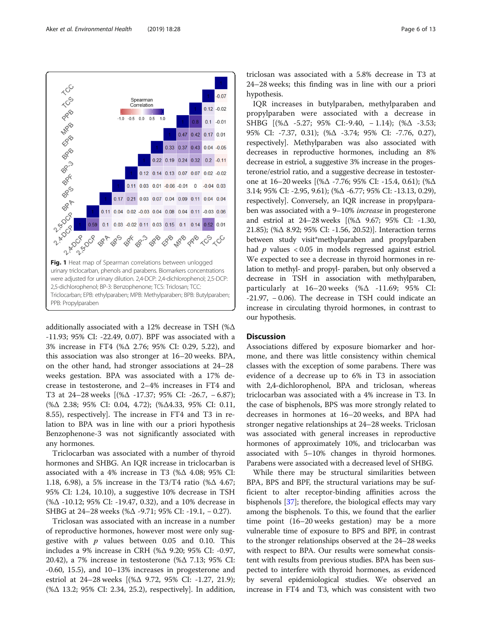<span id="page-5-0"></span>

additionally associated with a 12% decrease in TSH (%Δ -11.93; 95% CI: -22.49, 0.07). BPF was associated with a 3% increase in FT4 (%Δ 2.76; 95% CI: 0.29, 5.22), and this association was also stronger at 16–20 weeks. BPA, on the other hand, had stronger associations at 24–28 weeks gestation. BPA was associated with a 17% decrease in testosterone, and 2–4% increases in FT4 and T3 at 24–28 weeks [(%∆ -17.37; 95% CI: -26.7, -6.87); (%Δ 2.38; 95% CI: 0.04, 4.72); (%Δ4.33, 95% CI: 0.11, 8.55), respectively]. The increase in FT4 and T3 in relation to BPA was in line with our a priori hypothesis Benzophenone-3 was not significantly associated with any hormones.

Triclocarban was associated with a number of thyroid hormones and SHBG. An IQR increase in triclocarban is associated with a 4% increase in T3 (%Δ 4.08; 95% CI: 1.18, 6.98), a 5% increase in the T3/T4 ratio (% $\Delta$  4.67; 95% CI: 1.24, 10.10), a suggestive 10% decrease in TSH (%Δ -10.12; 95% CI: -19.47, 0.32), and a 10% decrease in SHBG at 24–28 weeks (%Δ -9.71; 95% CI: -19.1, − 0.27).

Triclosan was associated with an increase in a number of reproductive hormones, however most were only suggestive with  $p$  values between 0.05 and 0.10. This includes a 9% increase in CRH (%Δ 9.20; 95% CI: -0.97, 20.42), a 7% increase in testosterone (%Δ 7.13; 95% CI: -0.60, 15.5), and 10–13% increases in progesterone and estriol at 24–28 weeks  $[(\% \Delta \ 9.72, 95\% \ CI: -1.27, 21.9);$ (%Δ 13.2; 95% CI: 2.34, 25.2), respectively]. In addition,

triclosan was associated with a 5.8% decrease in T3 at 24–28 weeks; this finding was in line with our a priori hypothesis.

IQR increases in butylparaben, methylparaben and propylparaben were associated with a decrease in SHBG [(%Δ -5.27; 95% CI:-9.40, − 1.14); (%Δ -3.53; 95% CI: -7.37, 0.31); (%Δ -3.74; 95% CI: -7.76, 0.27), respectively]. Methylparaben was also associated with decreases in reproductive hormones, including an 8% decrease in estriol, a suggestive 3% increase in the progesterone/estriol ratio, and a suggestive decrease in testosterone at 16–20 weeks [(%Δ -7.76; 95% CI: -15.4, 0.61); (%Δ 3.14; 95% CI: -2.95, 9.61); (%Δ -6.77; 95% CI: -13.13, 0.29), respectively]. Conversely, an IQR increase in propylparaben was associated with a 9–10% increase in progesterone and estriol at 24–28 weeks [(%Δ 9.67; 95% CI: -1.30, 21.85); (%Δ 8.92; 95% CI: -1.56, 20.52)]. Interaction terms between study visit\*methylparaben and propylparaben had  $p$  values  $<0.05$  in models regressed against estriol. We expected to see a decrease in thyroid hormones in relation to methyl- and propyl- paraben, but only observed a decrease in TSH in association with methylparaben, particularly at  $16-20$  weeks  $(\% \Delta -11.69; 95\% \text{ CI:})$ -21.97, − 0.06). The decrease in TSH could indicate an increase in circulating thyroid hormones, in contrast to our hypothesis.

# **Discussion**

Associations differed by exposure biomarker and hormone, and there was little consistency within chemical classes with the exception of some parabens. There was evidence of a decrease up to 6% in T3 in association with 2,4-dichlorophenol, BPA and triclosan, whereas triclocarban was associated with a 4% increase in T3. In the case of bisphenols, BPS was more strongly related to decreases in hormones at 16–20 weeks, and BPA had stronger negative relationships at 24–28 weeks. Triclosan was associated with general increases in reproductive hormones of approximately 10%, and triclocarban was associated with 5–10% changes in thyroid hormones. Parabens were associated with a decreased level of SHBG.

While there may be structural similarities between BPA, BPS and BPF, the structural variations may be sufficient to alter receptor-binding affinities across the bisphenols [\[37\]](#page-11-0); therefore, the biological effects may vary among the bisphenols. To this, we found that the earlier time point (16–20 weeks gestation) may be a more vulnerable time of exposure to BPS and BPF, in contrast to the stronger relationships observed at the 24–28 weeks with respect to BPA. Our results were somewhat consistent with results from previous studies. BPA has been suspected to interfere with thyroid hormones, as evidenced by several epidemiological studies. We observed an increase in FT4 and T3, which was consistent with two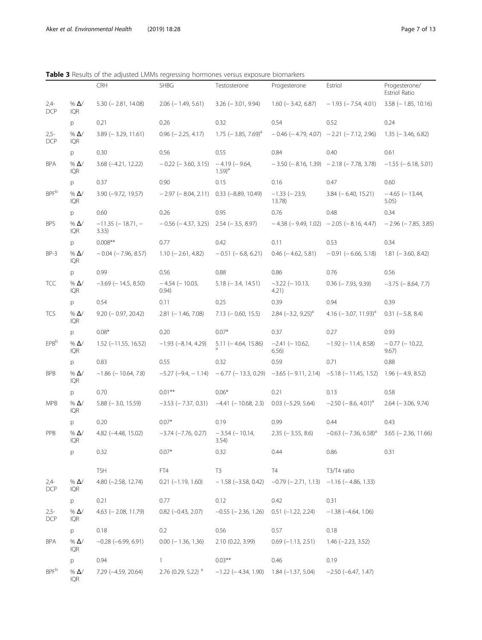<span id="page-6-0"></span>Table 3 Results of the adjusted LMMs regressing hormones versus exposure biomarkers

|                      |                            | able a nesults of the adjusted Entires regressing hominones versus exposure biomancis |                                                 |                                           |                                           |                                                     |                                       |
|----------------------|----------------------------|---------------------------------------------------------------------------------------|-------------------------------------------------|-------------------------------------------|-------------------------------------------|-----------------------------------------------------|---------------------------------------|
|                      |                            | <b>CRH</b>                                                                            | <b>SHBG</b>                                     | Testosterone                              | Progesterone                              | Estriol                                             | Progesterone/<br><b>Estriol Ratio</b> |
| $2,4-$<br><b>DCP</b> | % $\Delta/$<br><b>IQR</b>  | $5.30 (-2.81, 14.08)$                                                                 | $2.06$ ( $-1.49$ , 5.61)                        | $3.26$ ( $-3.01$ , 9.94)                  | $1.60$ ( $-3.42, 6.87$ )                  | $-1.93$ ( $-7.54$ , 4.01)                           | $3.58$ ( $-1.85$ , 10.16)             |
|                      | p                          | 0.21                                                                                  | 0.26                                            | 0.32                                      | 0.54                                      | 0.52                                                | 0.24                                  |
| $2,5-$<br><b>DCP</b> | % $\Delta$<br>IQR          | $3.89$ ( $-3.29$ , 11.61)                                                             | $0.96$ ( $-2.25$ , 4.17)                        | 1.75 ( $-3.85$ , 7.69) <sup>a</sup>       |                                           | $-0.46$ ( $-4.79$ , 4.07) $-2.21$ ( $-7.12$ , 2.96) | $1.35$ ( $-3.46$ , 6.82)              |
|                      | p                          | 0.30                                                                                  | 0.56                                            | 0.55                                      | 0.84                                      | 0.40                                                | 0.61                                  |
| <b>BPA</b>           | % $\Delta/$<br>IQR         | $3.68$ (-4.21, 12.22)                                                                 | $-0.22$ ( $-3.60$ , 3.15)                       | $-4.19(-9.64,$<br>$1.59)^{a}$             |                                           | $-3.50$ ( $-8.16$ , 1.39) $-2.18$ ( $-7.78$ , 3.78) | $-1.55$ ( $-6.18$ , 5.01)             |
|                      | p                          | 0.37                                                                                  | 0.90                                            | 0.15                                      | 0.16                                      | 0.47                                                | 0.60                                  |
| <b>BPF</b> b         | % $\Delta/$<br><b>IQR</b>  | $3.90 (-9.72, 19.57)$                                                                 | $-2.97$ (-8.04, 2.11) 0.33 (-8.89, 10.49)       |                                           | $-1.33$ ( $-23.9$ )<br>13.78)             | $3.84 (-6.40, 15.21)$                               | $-4.65$ (-13.44,<br>5.05)             |
|                      | p                          | 0.60                                                                                  | 0.26                                            | 0.95                                      | 0.76                                      | 0.48                                                | 0.34                                  |
| <b>BPS</b>           | % $\Delta/$<br><b>IQR</b>  | $-11.35$ (-18.71, -<br>3.33)                                                          | $-0.56$ ( $-4.37$ , 3.25) 2.54 ( $-3.5$ , 8.97) |                                           |                                           | $-4.38$ ( $-9.49$ , 1.02) $-2.05$ ( $-8.16$ , 4.47) | $-2.96$ ( $-7.85$ , 3.85)             |
|                      | p                          | $0.008**$                                                                             | 0.77                                            | 0.42                                      | 0.11                                      | 0.53                                                | 0.34                                  |
| BP-3                 | % $\Delta/$<br><b>IQR</b>  | $-0.04$ ( $-7.96$ , 8.57)                                                             | $1.10$ ( $-2.61$ , 4.82)                        | $-0.51$ ( $-6.8, 6.21$ )                  | $0.46$ ( $-4.62$ , 5.81)                  | $-0.91$ ( $-6.66$ , 5.18)                           | $1.81$ (-3.60, 8.42)                  |
|                      | p                          | 0.99                                                                                  | 0.56                                            | 0.88                                      | 0.86                                      | 0.76                                                | 0.56                                  |
| <b>TCC</b>           | % $\Delta/$<br><b>IQR</b>  | $-3.69$ ( $-14.5, 8.50$ )                                                             | $-4.54$ ( $-10.03$ ,<br>0.94)                   | $5.18$ ( $-3.4$ , 14.51)                  | $-3.22$ ( $-10.13$ )<br>4.21)             | $0.36$ ( $-7.93$ , 9.39)                            | $-3.75$ ( $-8.64$ , 7.7)              |
|                      | p                          | 0.54                                                                                  | 0.11                                            | 0.25                                      | 0.39                                      | 0.94                                                | 0.39                                  |
| <b>TCS</b>           | % $\Delta$ /<br><b>IQR</b> | $9.20 (-0.97, 20.42)$                                                                 | $2.81$ (-1.46, 7.08)                            | $7.13 (-0.60, 15.5)$                      | 2.84 $(-3.2, 9.25)^d$                     | 4.16 $(-3.07, 11.93)^{a}$                           | $0.31$ ( $-5.8$ , 8.4)                |
|                      | p                          | $0.08*$                                                                               | 0.20                                            | $0.07*$                                   | 0.37                                      | 0.27                                                | 0.93                                  |
| EPB <sup>b</sup>     | % $\Delta/$<br>IQR         | $1.52$ (-11.55, 16.52)                                                                | $-1.93$ $(-8.14, 4.29)$                         | $5.11 (-4.64, 15.86)$                     | $-2.41$ (-10.62,<br>6.56)                 | $-1.92$ (-11.4, 8.58)                               | $-0.77$ ( $-10.22$<br>9.67)           |
|                      | p                          | 0.83                                                                                  | 0.55                                            | 0.32                                      | 0.59                                      | 0.71                                                | 0.88                                  |
| <b>BPB</b>           | % $\Delta/$<br>IQR         | $-1.86$ ( $-10.64$ , 7.8)                                                             | $-5.27$ ( $-9.4$ , $-1.14$ )                    | $-6.77$ (-13.3, 0.29) -3.65 (-9.11, 2.14) |                                           | $-5.18$ ( $-11.45$ , 1.52)                          | $1.96$ ( $-4.9$ , 8.52)               |
|                      | p                          | 0.70                                                                                  | $0.01***$                                       | $0.06*$                                   | 0.21                                      | 0.13                                                | 0.58                                  |
| <b>MPB</b>           | % $\Delta/$<br>IQR         | $5.88$ ( $-3.0$ , 15.59)                                                              | $-3.53$ ( $-7.37$ , 0.31)                       | $-4.41$ (-10.68, 2.3)                     | $0.03$ (-5.29, 5.64)                      | $-2.50$ ( $-8.6$ , 4.01) <sup>a</sup>               | $2.64$ ( $-3.06$ , 9.74)              |
|                      | p                          | 0.20                                                                                  | $0.07*$                                         | 0.19                                      | 0.99                                      | 0.44                                                | 0.43                                  |
| PPB                  | % $\Delta$ /<br>IQR        | 4.82 (-4.48, 15.02)                                                                   | $-3.74$ ( $-7.76$ , 0.27)                       | $-3.54$ ( $-10.14$ )<br>3.54)             | $2.35$ ( $-3.55$ , 8.6)                   | $-0.63$ (-7.36, 6.58) <sup>a</sup>                  | $3.65$ (-2.36, 11.66)                 |
|                      | p                          | 0.32                                                                                  | $0.07*$                                         | 0.32                                      | 0.44                                      | 0.86                                                | 0.31                                  |
|                      |                            | <b>TSH</b>                                                                            | FT4                                             | T3                                        | T4                                        | T3/T4 ratio                                         |                                       |
| $2,4-$<br><b>DCP</b> | % $\Delta$ /<br>IQR        | $4.80$ ( $-2.58$ , 12.74)                                                             | $0.21$ $(-1.19, 1.60)$                          | $-1.58$ ( $-3.58$ , 0.42)                 | $-0.79$ (-2.71, 1.13) -1.16 (-4.86, 1.33) |                                                     |                                       |
|                      | p                          | 0.21                                                                                  | 0.77                                            | 0.12                                      | 0.42                                      | 0.31                                                |                                       |
| $2,5-$<br><b>DCP</b> | % $\Delta$<br><b>IQR</b>   | $4.63$ (-2.08, 11.79)                                                                 | $0.82$ (-0.43, 2.07)                            | $-0.55$ ( $-2.36$ , 1.26)                 | $0.51$ (-1.22, 2.24)                      | $-1.38$ ( $-4.64$ , 1.06)                           |                                       |
|                      | p.                         | 0.18                                                                                  | 0.2                                             | 0.56                                      | 0.57                                      | 0.18                                                |                                       |
| <b>BPA</b>           | % A/<br>IQR                | $-0.28$ $(-6.99, 6.91)$                                                               | $0.00 (-1.36, 1.36)$                            | 2.10 (0.22, 3.99)                         | $0.69$ (-1.13, 2.51)                      | $1.46$ (-2.23, 3.52)                                |                                       |
|                      | p                          | 0.94                                                                                  | $\mathbf{1}$                                    | $0.03***$                                 | 0.46                                      | 0.19                                                |                                       |
| <b>BPF</b> b         | % $\Delta/$<br><b>IQR</b>  | 7.29 (-4.59, 20.64)                                                                   | 2.76 (0.29, 5.22) $^a$                          | $-1.22$ (-4.34, 1.90) 1.84 (-1.37, 5.04)  |                                           | $-2.50(-6.47, 1.47)$                                |                                       |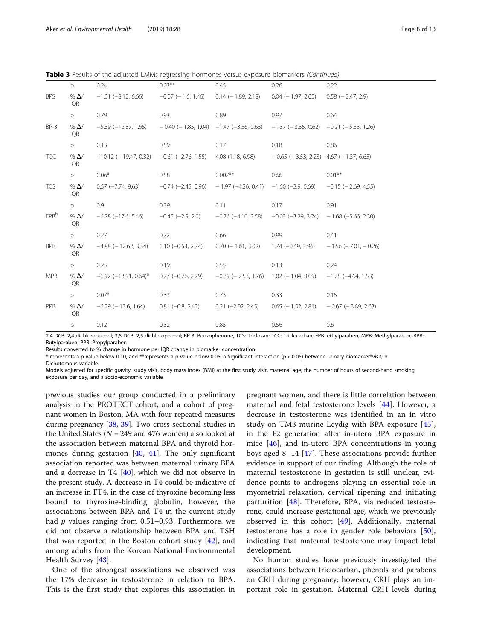Table 3 Results of the adjusted LMMs regressing hormones versus exposure biomarkers (Continued)

| $0.03***$<br>0.45<br>0.24<br>0.26<br>0.22<br>p<br><b>BPS</b><br>% $\Delta/$<br>$-1.01$ $(-8.12, 6.66)$<br>$-0.07$ ( $-1.6$ , 1.46)<br>$0.14 (-1.89, 2.18)$<br>$0.04 (-1.97, 2.05)$<br>$0.58$ ( $-2.47$ , 2.9)<br><b>IQR</b><br>0.79<br>0.93<br>0.89<br>0.64<br>0.97<br>p<br>$BP-3$<br>% $\Delta$<br>$-5.89$ ( $-12.87$ , 1.65)<br>$-0.40$ (-1.85, 1.04) $-1.47$ (-3.56, 0.63)<br>$-1.37$ (-3.35, 0.62) -0.21 (-5.33, 1.26)<br><b>IQR</b><br>0.59<br>0.18<br>0.13<br>0.17<br>0.86<br>p<br>% $\Delta/$<br><b>TCC</b><br>$-10.12$ (-19.47, 0.32)<br>$-0.61$ ( $-2.76$ , 1.55) $4.08$ (1.18, 6.98)<br>$-0.65$ ( $-3.53$ , 2.23) $4.67$ ( $-1.37$ , 6.65)<br><b>IQR</b><br>$0.06*$<br>0.58<br>$0.007**$<br>0.66<br>$0.01***$<br>p<br><b>TCS</b><br>% $\Delta$<br>$0.57$ ( $-7.74$ , $9.63$ )<br>$-1.60$ ( $-3.9$ , 0.69)<br>$-0.74$ ( $-2.45$ , 0.96)<br>$-1.97$ ( $-4.36$ , 0.41)<br>$-0.15$ ( $-2.69$ , 4.55)<br><b>IQR</b><br>0.9<br>0.39<br>0.91<br>0.11<br>0.17<br>p<br>EPB <sup>b</sup><br>% $\Delta$<br>$-0.03$ (-3.29, 3.24) $-1.68$ (-5.66, 2.30)<br>$-6.78$ ( $-17.6$ , 5.46)<br>$-0.45$ ( $-2.9$ , 2.0)<br>$-0.76$ ( $-4.10$ , 2.58)<br>IQR<br>0.27<br>0.66<br>0.41<br>0.72<br>0.99<br>p<br>% $\Delta$<br><b>BPB</b><br>$-4.88$ ( $-12.62$ , 3.54)<br>$1.10(-0.54, 2.74)$<br>$0.70$ ( $-1.61$ , 3.02)<br>$1.74 (-0.49, 3.96)$<br>$-1.56$ ( $-7.01$ , $-0.26$ )<br>IQR<br>0.25<br>0.19<br>0.55<br>0.24<br>0.13<br>p<br><b>MPB</b><br>% $\Delta$<br>$-6.92$ (-13.91, 0.64) <sup>a</sup><br>$0.77$ ( $-0.76$ , 2.29)<br>$-0.39$ ( $-2.53$ , 1.76) 1.02 ( $-1.04$ , 3.09)<br>$-1.78$ ( $-4.64$ , 1.53)<br><b>IQR</b><br>$0.07*$<br>0.33<br>0.73<br>0.33<br>0.15<br>p<br>PPB<br>% $\Delta$<br>$-6.29$ ( $-13.6$ , 1.64)<br>$0.81 (-0.8, 2.42)$<br>$0.21 (-2.02, 2.45)$<br>$0.65$ ( $-1.52$ , 2.81)<br>$-0.67$ ( $-3.89$ , 2.63)<br>IQR<br>0.12<br>0.32<br>0.85<br>0.56<br>0.6<br>p |  |  |  |  |
|-------------------------------------------------------------------------------------------------------------------------------------------------------------------------------------------------------------------------------------------------------------------------------------------------------------------------------------------------------------------------------------------------------------------------------------------------------------------------------------------------------------------------------------------------------------------------------------------------------------------------------------------------------------------------------------------------------------------------------------------------------------------------------------------------------------------------------------------------------------------------------------------------------------------------------------------------------------------------------------------------------------------------------------------------------------------------------------------------------------------------------------------------------------------------------------------------------------------------------------------------------------------------------------------------------------------------------------------------------------------------------------------------------------------------------------------------------------------------------------------------------------------------------------------------------------------------------------------------------------------------------------------------------------------------------------------------------------------------------------------------------------------------------------------------------------------------------------------------------------------------------------|--|--|--|--|
|                                                                                                                                                                                                                                                                                                                                                                                                                                                                                                                                                                                                                                                                                                                                                                                                                                                                                                                                                                                                                                                                                                                                                                                                                                                                                                                                                                                                                                                                                                                                                                                                                                                                                                                                                                                                                                                                                     |  |  |  |  |
|                                                                                                                                                                                                                                                                                                                                                                                                                                                                                                                                                                                                                                                                                                                                                                                                                                                                                                                                                                                                                                                                                                                                                                                                                                                                                                                                                                                                                                                                                                                                                                                                                                                                                                                                                                                                                                                                                     |  |  |  |  |
|                                                                                                                                                                                                                                                                                                                                                                                                                                                                                                                                                                                                                                                                                                                                                                                                                                                                                                                                                                                                                                                                                                                                                                                                                                                                                                                                                                                                                                                                                                                                                                                                                                                                                                                                                                                                                                                                                     |  |  |  |  |
|                                                                                                                                                                                                                                                                                                                                                                                                                                                                                                                                                                                                                                                                                                                                                                                                                                                                                                                                                                                                                                                                                                                                                                                                                                                                                                                                                                                                                                                                                                                                                                                                                                                                                                                                                                                                                                                                                     |  |  |  |  |
|                                                                                                                                                                                                                                                                                                                                                                                                                                                                                                                                                                                                                                                                                                                                                                                                                                                                                                                                                                                                                                                                                                                                                                                                                                                                                                                                                                                                                                                                                                                                                                                                                                                                                                                                                                                                                                                                                     |  |  |  |  |
|                                                                                                                                                                                                                                                                                                                                                                                                                                                                                                                                                                                                                                                                                                                                                                                                                                                                                                                                                                                                                                                                                                                                                                                                                                                                                                                                                                                                                                                                                                                                                                                                                                                                                                                                                                                                                                                                                     |  |  |  |  |
|                                                                                                                                                                                                                                                                                                                                                                                                                                                                                                                                                                                                                                                                                                                                                                                                                                                                                                                                                                                                                                                                                                                                                                                                                                                                                                                                                                                                                                                                                                                                                                                                                                                                                                                                                                                                                                                                                     |  |  |  |  |
|                                                                                                                                                                                                                                                                                                                                                                                                                                                                                                                                                                                                                                                                                                                                                                                                                                                                                                                                                                                                                                                                                                                                                                                                                                                                                                                                                                                                                                                                                                                                                                                                                                                                                                                                                                                                                                                                                     |  |  |  |  |
|                                                                                                                                                                                                                                                                                                                                                                                                                                                                                                                                                                                                                                                                                                                                                                                                                                                                                                                                                                                                                                                                                                                                                                                                                                                                                                                                                                                                                                                                                                                                                                                                                                                                                                                                                                                                                                                                                     |  |  |  |  |
|                                                                                                                                                                                                                                                                                                                                                                                                                                                                                                                                                                                                                                                                                                                                                                                                                                                                                                                                                                                                                                                                                                                                                                                                                                                                                                                                                                                                                                                                                                                                                                                                                                                                                                                                                                                                                                                                                     |  |  |  |  |
|                                                                                                                                                                                                                                                                                                                                                                                                                                                                                                                                                                                                                                                                                                                                                                                                                                                                                                                                                                                                                                                                                                                                                                                                                                                                                                                                                                                                                                                                                                                                                                                                                                                                                                                                                                                                                                                                                     |  |  |  |  |
|                                                                                                                                                                                                                                                                                                                                                                                                                                                                                                                                                                                                                                                                                                                                                                                                                                                                                                                                                                                                                                                                                                                                                                                                                                                                                                                                                                                                                                                                                                                                                                                                                                                                                                                                                                                                                                                                                     |  |  |  |  |
|                                                                                                                                                                                                                                                                                                                                                                                                                                                                                                                                                                                                                                                                                                                                                                                                                                                                                                                                                                                                                                                                                                                                                                                                                                                                                                                                                                                                                                                                                                                                                                                                                                                                                                                                                                                                                                                                                     |  |  |  |  |
|                                                                                                                                                                                                                                                                                                                                                                                                                                                                                                                                                                                                                                                                                                                                                                                                                                                                                                                                                                                                                                                                                                                                                                                                                                                                                                                                                                                                                                                                                                                                                                                                                                                                                                                                                                                                                                                                                     |  |  |  |  |
|                                                                                                                                                                                                                                                                                                                                                                                                                                                                                                                                                                                                                                                                                                                                                                                                                                                                                                                                                                                                                                                                                                                                                                                                                                                                                                                                                                                                                                                                                                                                                                                                                                                                                                                                                                                                                                                                                     |  |  |  |  |
|                                                                                                                                                                                                                                                                                                                                                                                                                                                                                                                                                                                                                                                                                                                                                                                                                                                                                                                                                                                                                                                                                                                                                                                                                                                                                                                                                                                                                                                                                                                                                                                                                                                                                                                                                                                                                                                                                     |  |  |  |  |
|                                                                                                                                                                                                                                                                                                                                                                                                                                                                                                                                                                                                                                                                                                                                                                                                                                                                                                                                                                                                                                                                                                                                                                                                                                                                                                                                                                                                                                                                                                                                                                                                                                                                                                                                                                                                                                                                                     |  |  |  |  |

2,4-DCP: 2,4-dichlorophenol; 2,5-DCP: 2,5-dichlorophenol; BP-3: Benzophenone; TCS: Triclosan; TCC: Triclocarban; EPB: ethylparaben; MPB: Methylparaben; BPB: Butylparaben; PPB: Propylparaben

Results converted to % change in hormone per IQR change in biomarker concentration

Dichotomous variable

\* represents a p value below 0.10, and \*\*represents a p value below 0.05; a Significant interaction (p < 0.05) between urinary biomarker\*visit; b

Models adjusted for specific gravity, study visit, body mass index (BMI) at the first study visit, maternal age, the number of hours of second-hand smoking exposure per day, and a socio-economic variable

previous studies our group conducted in a preliminary analysis in the PROTECT cohort, and a cohort of pregnant women in Boston, MA with four repeated measures during pregnancy [\[38,](#page-11-0) [39\]](#page-11-0). Two cross-sectional studies in the United States ( $N = 249$  and 476 women) also looked at the association between maternal BPA and thyroid hormones during gestation [[40,](#page-11-0) [41\]](#page-11-0). The only significant association reported was between maternal urinary BPA and a decrease in T4  $[40]$ , which we did not observe in the present study. A decrease in T4 could be indicative of an increase in FT4, in the case of thyroxine becoming less bound to thyroxine-binding globulin, however, the associations between BPA and T4 in the current study had  $p$  values ranging from 0.51–0.93. Furthermore, we did not observe a relationship between BPA and TSH that was reported in the Boston cohort study [\[42](#page-11-0)], and among adults from the Korean National Environmental Health Survey [[43\]](#page-11-0).

One of the strongest associations we observed was the 17% decrease in testosterone in relation to BPA. This is the first study that explores this association in

pregnant women, and there is little correlation between maternal and fetal testosterone levels [[44\]](#page-11-0). However, a decrease in testosterone was identified in an in vitro study on TM3 murine Leydig with BPA exposure [\[45](#page-11-0)], in the F2 generation after in-utero BPA exposure in mice [[46\]](#page-11-0), and in-utero BPA concentrations in young boys aged 8–14 [[47](#page-11-0)]. These associations provide further evidence in support of our finding. Although the role of maternal testosterone in gestation is still unclear, evidence points to androgens playing an essential role in myometrial relaxation, cervical ripening and initiating parturition [[48\]](#page-11-0). Therefore, BPA, via reduced testosterone, could increase gestational age, which we previously observed in this cohort [\[49\]](#page-11-0). Additionally, maternal testosterone has a role in gender role behaviors [\[50](#page-11-0)], indicating that maternal testosterone may impact fetal development.

No human studies have previously investigated the associations between triclocarban, phenols and parabens on CRH during pregnancy; however, CRH plays an important role in gestation. Maternal CRH levels during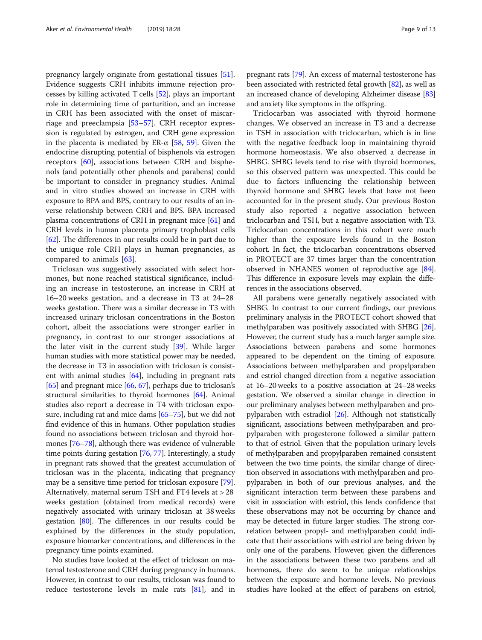pregnancy largely originate from gestational tissues [\[51](#page-11-0)]. Evidence suggests CRH inhibits immune rejection processes by killing activated T cells [[52\]](#page-11-0), plays an important role in determining time of parturition, and an increase in CRH has been associated with the onset of miscarriage and preeclampsia [[53](#page-11-0)–[57](#page-11-0)]. CRH receptor expression is regulated by estrogen, and CRH gene expression in the placenta is mediated by ER- $\alpha$  [\[58,](#page-11-0) [59\]](#page-11-0). Given the endocrine disrupting potential of bisphenols via estrogen receptors [[60\]](#page-11-0), associations between CRH and bisphenols (and potentially other phenols and parabens) could be important to consider in pregnancy studies. Animal and in vitro studies showed an increase in CRH with exposure to BPA and BPS, contrary to our results of an inverse relationship between CRH and BPS. BPA increased plasma concentrations of CRH in pregnant mice [[61](#page-11-0)] and CRH levels in human placenta primary trophoblast cells [[62](#page-12-0)]. The differences in our results could be in part due to the unique role CRH plays in human pregnancies, as compared to animals [\[63](#page-12-0)].

Triclosan was suggestively associated with select hormones, but none reached statistical significance, including an increase in testosterone, an increase in CRH at 16–20 weeks gestation, and a decrease in T3 at 24–28 weeks gestation. There was a similar decrease in T3 with increased urinary triclosan concentrations in the Boston cohort, albeit the associations were stronger earlier in pregnancy, in contrast to our stronger associations at the later visit in the current study [[39\]](#page-11-0). While larger human studies with more statistical power may be needed, the decrease in T3 in association with triclosan is consistent with animal studies [\[64\]](#page-12-0), including in pregnant rats [[65](#page-12-0)] and pregnant mice  $[66, 67]$  $[66, 67]$  $[66, 67]$ , perhaps due to triclosan's structural similarities to thyroid hormones [[64](#page-12-0)]. Animal studies also report a decrease in T4 with triclosan exposure, including rat and mice dams [[65](#page-12-0)–[75\]](#page-12-0), but we did not find evidence of this in humans. Other population studies found no associations between triclosan and thyroid hormones [\[76](#page-12-0)–[78](#page-12-0)], although there was evidence of vulnerable time points during gestation [[76](#page-12-0), [77\]](#page-12-0). Interestingly, a study in pregnant rats showed that the greatest accumulation of triclosan was in the placenta, indicating that pregnancy may be a sensitive time period for triclosan exposure [[79](#page-12-0)]. Alternatively, maternal serum TSH and FT4 levels at > 28 weeks gestation (obtained from medical records) were negatively associated with urinary triclosan at 38 weeks gestation [\[80\]](#page-12-0). The differences in our results could be explained by the differences in the study population, exposure biomarker concentrations, and differences in the pregnancy time points examined.

No studies have looked at the effect of triclosan on maternal testosterone and CRH during pregnancy in humans. However, in contrast to our results, triclosan was found to reduce testosterone levels in male rats [[81](#page-12-0)], and in pregnant rats [\[79\]](#page-12-0). An excess of maternal testosterone has been associated with restricted fetal growth [[82](#page-12-0)], as well as an increased chance of developing Alzheimer disease [[83](#page-12-0)] and anxiety like symptoms in the offspring.

Triclocarban was associated with thyroid hormone changes. We observed an increase in T3 and a decrease in TSH in association with triclocarban, which is in line with the negative feedback loop in maintaining thyroid hormone homeostasis. We also observed a decrease in SHBG. SHBG levels tend to rise with thyroid hormones, so this observed pattern was unexpected. This could be due to factors influencing the relationship between thyroid hormone and SHBG levels that have not been accounted for in the present study. Our previous Boston study also reported a negative association between triclocarban and TSH, but a negative association with T3. Triclocarban concentrations in this cohort were much higher than the exposure levels found in the Boston cohort. In fact, the triclocarban concentrations observed in PROTECT are 37 times larger than the concentration observed in NHANES women of reproductive age [[84](#page-12-0)]. This difference in exposure levels may explain the differences in the associations observed.

All parabens were generally negatively associated with SHBG. In contrast to our current findings, our previous preliminary analysis in the PROTECT cohort showed that methylparaben was positively associated with SHBG [[26](#page-11-0)]. However, the current study has a much larger sample size. Associations between parabens and some hormones appeared to be dependent on the timing of exposure. Associations between methylparaben and propylparaben and estriol changed direction from a negative association at 16–20 weeks to a positive association at 24–28 weeks gestation. We observed a similar change in direction in our preliminary analyses between methylparaben and propylparaben with estradiol [\[26\]](#page-11-0). Although not statistically significant, associations between methylparaben and propylparaben with progesterone followed a similar pattern to that of estriol. Given that the population urinary levels of methylparaben and propylparaben remained consistent between the two time points, the similar change of direction observed in associations with methylparaben and propylparaben in both of our previous analyses, and the significant interaction term between these parabens and visit in association with estriol, this lends confidence that these observations may not be occurring by chance and may be detected in future larger studies. The strong correlation between propyl- and methylparaben could indicate that their associations with estriol are being driven by only one of the parabens. However, given the differences in the associations between these two parabens and all hormones, there do seem to be unique relationships between the exposure and hormone levels. No previous studies have looked at the effect of parabens on estriol,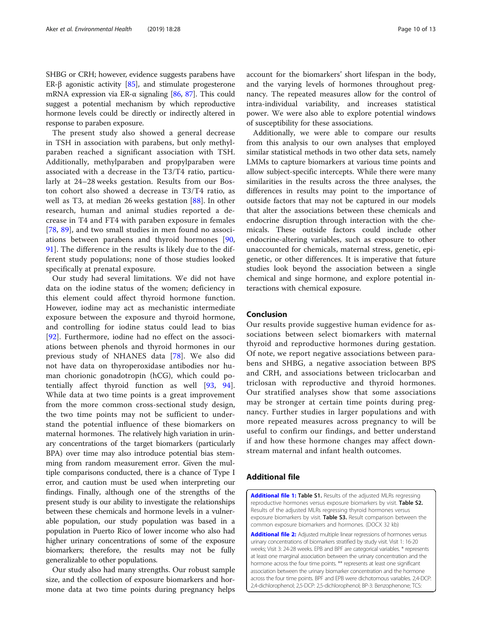<span id="page-9-0"></span>SHBG or CRH; however, evidence suggests parabens have ER-β agonistic activity  $[85]$  $[85]$  $[85]$ , and stimulate progesterone mRNA expression via ER- $\alpha$  signaling [[86](#page-12-0), [87\]](#page-12-0). This could suggest a potential mechanism by which reproductive hormone levels could be directly or indirectly altered in response to paraben exposure.

The present study also showed a general decrease in TSH in association with parabens, but only methylparaben reached a significant association with TSH. Additionally, methylparaben and propylparaben were associated with a decrease in the T3/T4 ratio, particularly at 24–28 weeks gestation. Results from our Boston cohort also showed a decrease in T3/T4 ratio, as well as T3, at median 26 weeks gestation [\[88](#page-12-0)]. In other research, human and animal studies reported a decrease in T4 and FT4 with paraben exposure in females [[78,](#page-12-0) [89](#page-12-0)], and two small studies in men found no associations between parabens and thyroid hormones [\[90](#page-12-0), [91\]](#page-12-0). The difference in the results is likely due to the different study populations; none of those studies looked specifically at prenatal exposure.

Our study had several limitations. We did not have data on the iodine status of the women; deficiency in this element could affect thyroid hormone function. However, iodine may act as mechanistic intermediate exposure between the exposure and thyroid hormone, and controlling for iodine status could lead to bias [[92\]](#page-12-0). Furthermore, iodine had no effect on the associations between phenols and thyroid hormones in our previous study of NHANES data [[78\]](#page-12-0). We also did not have data on thyroperoxidase antibodies nor human chorionic gonadotropin (hCG), which could potentially affect thyroid function as well [[93,](#page-12-0) [94](#page-12-0)]. While data at two time points is a great improvement from the more common cross-sectional study design, the two time points may not be sufficient to understand the potential influence of these biomarkers on maternal hormones. The relatively high variation in urinary concentrations of the target biomarkers (particularly BPA) over time may also introduce potential bias stemming from random measurement error. Given the multiple comparisons conducted, there is a chance of Type I error, and caution must be used when interpreting our findings. Finally, although one of the strengths of the present study is our ability to investigate the relationships between these chemicals and hormone levels in a vulnerable population, our study population was based in a population in Puerto Rico of lower income who also had higher urinary concentrations of some of the exposure biomarkers; therefore, the results may not be fully generalizable to other populations.

Our study also had many strengths. Our robust sample size, and the collection of exposure biomarkers and hormone data at two time points during pregnancy helps account for the biomarkers' short lifespan in the body, and the varying levels of hormones throughout pregnancy. The repeated measures allow for the control of intra-individual variability, and increases statistical power. We were also able to explore potential windows of susceptibility for these associations.

Additionally, we were able to compare our results from this analysis to our own analyses that employed similar statistical methods in two other data sets, namely LMMs to capture biomarkers at various time points and allow subject-specific intercepts. While there were many similarities in the results across the three analyses, the differences in results may point to the importance of outside factors that may not be captured in our models that alter the associations between these chemicals and endocrine disruption through interaction with the chemicals. These outside factors could include other endocrine-altering variables, such as exposure to other unaccounted for chemicals, maternal stress, genetic, epigenetic, or other differences. It is imperative that future studies look beyond the association between a single chemical and singe hormone, and explore potential interactions with chemical exposure.

# Conclusion

Our results provide suggestive human evidence for associations between select biomarkers with maternal thyroid and reproductive hormones during gestation. Of note, we report negative associations between parabens and SHBG, a negative association between BPS and CRH, and associations between triclocarban and triclosan with reproductive and thyroid hormones. Our stratified analyses show that some associations may be stronger at certain time points during pregnancy. Further studies in larger populations and with more repeated measures across pregnancy to will be useful to confirm our findings, and better understand if and how these hormone changes may affect downstream maternal and infant health outcomes.

# Additional file

[Additional file 1:](https://doi.org/10.1186/s12940-019-0459-5) Table S1. Results of the adjusted MLRs regressing reproductive hormones versus exposure biomarkers by visit. Table S2. Results of the adjusted MLRs regressing thyroid hormones versus exposure biomarkers by visit. Table S3. Result comparison between the common exposure biomarkers and hormones. (DOCX 32 kb)

[Additional file 2:](https://doi.org/10.1186/s12940-019-0459-5) Adjusted multiple linear regressions of hormones versus urinary concentrations of biomarkers stratified by study visit. Visit 1: 16-20 weeks; Visit 3: 24-28 weeks. EPB and BPF are categorical variables. \* represents at least one marginal association between the urinary concentration and the hormone across the four time points. \*\* represents at least one significant association between the urinary biomarker concentration and the hormone across the four time points. BPF and EPB were dichotomous variables. 2,4-DCP: 2,4-dichlorophenol; 2,5-DCP: 2,5-dichlorophenol; BP-3: Benzophenone; TCS: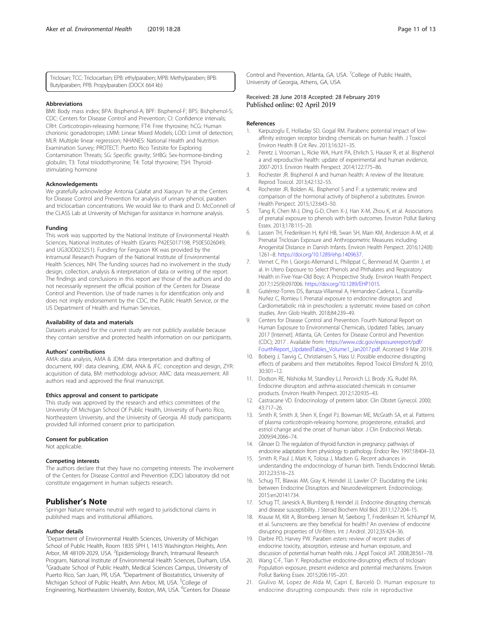<span id="page-10-0"></span>Triclosan; TCC: Triclocarban; EPB: ethylparaben; MPB: Methylparaben; BPB: Butylparaben; PPB: Propylparaben (DOCX 664 kb)

#### Abbreviations

BMI: Body mass index; BPA: Bisphenol-A; BPF: Bisphenol-F; BPS: Bishphenol-S; CDC: Centers for Disease Control and Prevention; CI: Confidence intervals; CRH: Corticotropin-releasing hormone; FT4: Free thyroxine; hCG: Human chorionic gonadotropin; LMM: Linear Mixed Models; LOD: Limit of detection; MLR: Multiple linear regression; NHANES: National Health and Nutrition Examination Survey; PROTECT: Puerto Rico Testsite for Exploring Contamination Threats; SG: Specific gravity; SHBG: Sex-hormone-binding globulin; T3: Total triiodothyronine; T4: Total thyroxine; TSH: Thyroidstimulating hormone

#### Acknowledgements

We gratefully acknowledge Antonia Calafat and Xiaoyun Ye at the Centers for Disease Control and Prevention for analysis of urinary phenol, paraben and triclocarban concentrations. We would like to thank and D. McConnell of the CLASS Lab at University of Michigan for assistance in hormone analysis.

#### Funding

This work was supported by the National Institute of Environmental Health Sciences, National Institutes of Health (Grants P42ES017198, P50ES026049, and UG3OD023251). Funding for Ferguson KK was provided by the Intramural Research Program of the National Institute of Environmental Health Sciences, NIH. The funding sources had no involvement in the study design, collection, analysis & interpretation of data or writing of the report. The findings and conclusions in this report are those of the authors and do not necessarily represent the official position of the Centers for Disease Control and Prevention. Use of trade names is for identification only and does not imply endorsement by the CDC, the Public Health Service, or the US Department of Health and Human Services.

#### Availability of data and materials

Datasets analyzed for the current study are not publicly available because they contain sensitive and protected health information on our participants.

#### Authors' contributions

AMA: data analysis, AMA & JDM: data interpretation and drafting of document, KKF: data cleaning, JDM, ANA & JFC: conception and design, ZYR: acquisition of data, BM: methodology advisor; AMC: data measurement. All authors read and approved the final manuscript.

# Ethics approval and consent to participate

This study was approved by the research and ethics committees of the University Of Michigan School Of Public Health, University of Puerto Rico, Northeastern University, and the University of Georgia. All study participants provided full informed consent prior to participation.

#### Consent for publication

Not applicable.

#### Competing interests

The authors declare that they have no competing interests. The involvement of the Centers for Disease Control and Prevention (CDC) laboratory did not constitute engagement in human subjects research.

# Publisher's Note

Springer Nature remains neutral with regard to jurisdictional claims in published maps and institutional affiliations.

#### Author details

<sup>1</sup>Department of Environmental Health Sciences, University of Michigan School of Public Health, Room 1835 SPH I, 1415 Washington Heights, Ann Arbor, MI 48109-2029, USA. <sup>2</sup>Epidemiology Branch, Intramural Research Program, National Institute of Environmental Health Sciences, Durham, USA. <sup>3</sup>Graduate School of Public Health, Medical Sciences Campus, University of Puerto Rico, San Juan, PR, USA. <sup>4</sup>Department of Biostatistics, University of Michigan School of Public Health, Ann Arbor, MI, USA. <sup>5</sup>College of Engineering, Northeastern University, Boston, MA, USA. <sup>6</sup>Centers for Disease

# Received: 28 June 2018 Accepted: 28 February 2019 Published online: 02 April 2019

#### References

- 1. Karpuzoglu E, Holladay SD, Gogal RM. Parabens: potential impact of lowaffinity estrogen receptor binding chemicals on human health. J Toxicol Environ Health B Crit Rev. 2013;16:321–35.
- 2. Peretz J, Vrooman L, Ricke WA, Hunt PA, Ehrlich S, Hauser R, et al. Bisphenol a and reproductive health: update of experimental and human evidence, 2007-2013. Environ Health Perspect. 2014;122:775–86.
- Rochester JR. Bisphenol A and human health: A review of the literature. Reprod Toxicol. 2013;42:132–55.
- 4. Rochester JR, Bolden AL. Bisphenol S and F: a systematic review and comparison of the hormonal activity of bisphenol a substitutes. Environ Health Perspect. 2015;123:643–50.
- Tang R, Chen M-J, Ding G-D, Chen X-J, Han X-M, Zhou K, et al. Associations of prenatal exposure to phenols with birth outcomes. Environ Pollut Barking Essex. 2013;178:115–20.
- Lassen TH, Frederiksen H, Kyhl HB, Swan SH, Main KM, Andersson A-M, et al. Prenatal Triclosan Exposure and Anthropometric Measures including Anogenital Distance in Danish Infants. Environ Health Perspect. 2016;124(8): 1261–8. <https://doi.org/10.1289/ehp.1409637>.
- 7. Vernet C, Pin I, Giorgis-Allemand L, Philippat C, Benmerad M, Quentin J, et al. In Utero Exposure to Select Phenols and Phthalates and Respiratory Health in Five-Year-Old Boys: A Prospective Study. Environ Health Perspect. 2017;125(9):097006. <https://doi.org/10.1289/EHP1015>.
- 8. Gutiérrez-Torres DS, Barraza-Villarreal A, Hernandez-Cadena L, Escamilla-Nuñez C, Romieu I. Prenatal exposure to endocrine disruptors and Cardiometabolic risk in preschoolers: a systematic review based on cohort studies. Ann Glob Health. 2018;84:239–49.
- 9. Centers for Disease Control and Prevention. Fourth National Report on Human Exposure to Environmental Chemicals, Updated Tables, January 2017 [Internet]. Atlanta, GA: Centers for Disease Control and Prevention (CDC); 2017 . Available from: [https://www.cdc.gov/exposurereport/pdf/](https://www.cdc.gov/exposurereport/pdf/FourthReport_UpdatedTables_Volume1_Jan2017.pdf) [FourthReport\\_UpdatedTables\\_Volume1\\_Jan2017.pdf.](https://www.cdc.gov/exposurereport/pdf/FourthReport_UpdatedTables_Volume1_Jan2017.pdf) Accessed 9 Mar 2019.
- 10. Boberg J, Taxvig C, Christiansen S, Hass U. Possible endocrine disrupting effects of parabens and their metabolites. Reprod Toxicol Elmsford N. 2010; 30:301–12.
- 11. Dodson RE, Nishioka M, Standley LJ, Perovich LJ, Brody JG, Rudel RA. Endocrine disruptors and asthma-associated chemicals in consumer products. Environ Health Perspect. 2012;120:935–43.
- 12. Castracane VD. Endocrinology of preterm labor. Clin Obstet Gynecol. 2000; 43:717–26.
- 13. Smith R, Smith JI, Shen X, Engel PJ, Bowman ME, McGrath SA, et al. Patterns of plasma corticotropin-releasing hormone, progesterone, estradiol, and estriol change and the onset of human labor. J Clin Endocrinol Metab. 2009;94:2066–74.
- 14. Glinoer D. The regulation of thyroid function in pregnancy: pathways of endocrine adaptation from physiology to pathology. Endocr Rev. 1997;18:404–33.
- 15. Smith R, Paul J, Maiti K, Tolosa J, Madsen G. Recent advances in understanding the endocrinology of human birth. Trends Endocrinol Metab. 2012;23:516–23.
- 16. Schug TT, Blawas AM, Gray K, Heindel JJ, Lawler CP. Elucidating the Links between Endocrine Disruptors and Neurodevelopment. Endocrinology. 2015:en20141734.
- 17. Schug TT, Janesick A, Blumberg B, Heindel JJ. Endocrine disrupting chemicals and disease susceptibility. J Steroid Biochem Mol Biol. 2011;127:204–15.
- 18. Krause M, Klit A, Blomberg Jensen M, Søeborg T, Frederiksen H, Schlumpf M, et al. Sunscreens: are they beneficial for health? An overview of endocrine disrupting properties of UV-filters. Int J Androl. 2012;35:424–36.
- 19. Darbre PD, Harvey PW. Paraben esters: review of recent studies of endocrine toxicity, absorption, esterase and human exposure, and discussion of potential human health risks. J Appl Toxicol JAT. 2008;28:561–78.
- 20. Wang C-F, Tian Y. Reproductive endocrine-disrupting effects of triclosan: Population exposure, present evidence and potential mechanisms. Environ Pollut Barking Essex. 2015;206:195–201.
- 21. Giulivo M, Lopez de Alda M, Capri E, Barceló D. Human exposure to endocrine disrupting compounds: their role in reproductive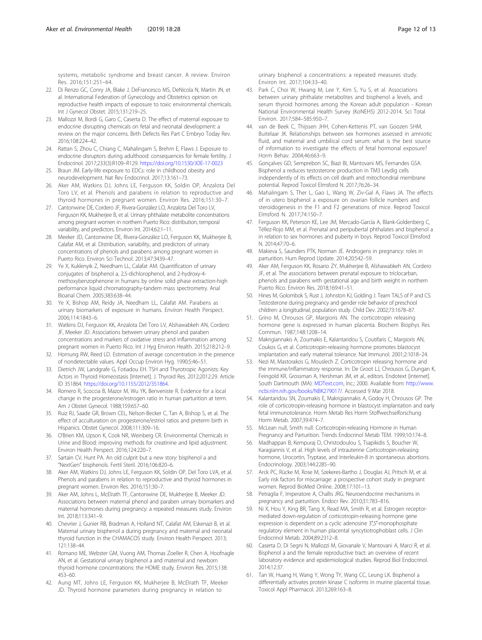<span id="page-11-0"></span>systems, metabolic syndrome and breast cancer. A review. Environ Res. 2016;151:251–64.

- 22. Di Renzo GC, Conry JA, Blake J, DeFrancesco MS, DeNicola N, Martin JN, et al. International Federation of Gynecology and Obstetrics opinion on reproductive health impacts of exposure to toxic environmental chemicals. Int J Gynecol Obstet. 2015;131:219–25.
- 23. Mallozzi M, Bordi G, Garo C, Caserta D. The effect of maternal exposure to endocrine disrupting chemicals on fetal and neonatal development: a review on the major concerns. Birth Defects Res Part C Embryo Today Rev. 2016;108:224–42.
- 24. Rattan S, Zhou C, Chiang C, Mahalingam S, Brehm E, Flaws J. Exposure to endocrine disruptors during adulthood: consequences for female fertility. J Endocrinol. 2017;233(3):R109–R129. <https://doi.org/10.1530/JOE-17-0023>
- 25. Braun JM. Early-life exposure to EDCs: role in childhood obesity and neurodevelopment. Nat Rev Endocrinol. 2017;13:161–73.
- 26. Aker AM, Watkins DJ, Johns LE, Ferguson KK, Soldin OP, Anzalota Del Toro LV, et al. Phenols and parabens in relation to reproductive and thyroid hormones in pregnant women. Environ Res. 2016;151:30–7.
- 27. Cantonwine DE, Cordero JF, Rivera-González LO, Anzalota Del Toro LV, Ferguson KK, Mukherjee B, et al. Urinary phthalate metabolite concentrations among pregnant women in northern Puerto Rico: distribution, temporal variability, and predictors. Environ Int. 2014;62:1–11.
- 28. Meeker JD, Cantonwine DE, Rivera-González LO, Ferguson KK, Mukherjee B, Calafat AM, et al. Distribution, variability, and predictors of urinary concentrations of phenols and parabens among pregnant women in Puerto Rico. Environ Sci Technol. 2013;47:3439–47.
- 29. Ye X, Kuklenyik Z, Needham LL, Calafat AM. Quantification of urinary conjugates of bisphenol a, 2,5-dichlorophenol, and 2-hydroxy-4 methoxybenzophenone in humans by online solid phase extraction-high performance liquid chromatography-tandem mass spectrometry. Anal Bioanal Chem. 2005;383:638–44.
- 30. Ye X, Bishop AM, Reidy JA, Needham LL, Calafat AM. Parabens as urinary biomarkers of exposure in humans. Environ Health Perspect. 2006;114:1843–6.
- 31. Watkins DJ, Ferguson KK, Anzalota Del Toro LV, Alshawabkeh AN, Cordero JF, Meeker JD. Associations between urinary phenol and paraben concentrations and markers of oxidative stress and inflammation among pregnant women in Puerto Rico. Int J Hyg Environ Health. 2015;218:212–9.
- 32. Hornung RW, Reed LD. Estimation of average concentration in the presence of nondetectable values. Appl Occup Environ Hyg. 1990;5:46–51.
- 33. Dietrich JW, Landgrafe G, Fotiadou EH. TSH and Thyrotropic Agonists: Key Actors in Thyroid Homeostasis [Internet]. J. Thyroid Res. 2012;2012:29. Article ID 351864. <https://doi.org/10.1155/2012/351864>.
- 34. Romero R, Scoccia B, Mazor M, Wu YK, Benveniste R. Evidence for a local change in the progesterone/estrogen ratio in human parturition at term. Am J Obstet Gynecol. 1988;159:657–60.
- 35. Ruiz RJ, Saade GR, Brown CEL, Nelson-Becker C, Tan A, Bishop S, et al. The effect of acculturation on progesterone/estriol ratios and preterm birth in Hispanics. Obstet Gynecol. 2008;111:309–16.
- 36. O'Brien KM, Upson K, Cook NR, Weinberg CR. Environmental Chemicals in Urine and Blood: improving methods for creatinine and lipid adjustment. Environ Health Perspect. 2016;124:220–7.
- 37. Sartain CV, Hunt PA. An old culprit but a new story: bisphenol a and "NextGen" bisphenols. Fertil Steril. 2016;106:820–6.
- 38. Aker AM, Watkins DJ, Johns LE, Ferguson KK, Soldin OP, Del Toro LVA, et al. Phenols and parabens in relation to reproductive and thyroid hormones in pregnant women. Environ Res. 2016;151:30–7.
- 39. Aker AM, Johns L, McElrath TF, Cantonwine DE, Mukherjee B, Meeker JD. Associations between maternal phenol and paraben urinary biomarkers and maternal hormones during pregnancy: a repeated measures study. Environ Int. 2018;113:341–9.
- 40. Chevrier J, Gunier RB, Bradman A, Holland NT, Calafat AM, Eskenazi B, et al. Maternal urinary bisphenol a during pregnancy and maternal and neonatal thyroid function in the CHAMACOS study. Environ Health Perspect. 2013; 121:138–44.
- 41. Romano ME, Webster GM, Vuong AM, Thomas Zoeller R, Chen A, Hoofnagle AN, et al. Gestational urinary bisphenol a and maternal and newborn thyroid hormone concentrations: the HOME study. Environ Res. 2015;138: 453–60.
- 42. Aung MT, Johns LE, Ferguson KK, Mukherjee B, McElrath TF, Meeker JD. Thyroid hormone parameters during pregnancy in relation to

urinary bisphenol a concentrations: a repeated measures study. Environ Int. 2017;104:33–40.

- 43. Park C, Choi W, Hwang M, Lee Y, Kim S, Yu S, et al. Associations between urinary phthalate metabolites and bisphenol a levels, and serum thyroid hormones among the Korean adult population - Korean National Environmental Health Survey (KoNEHS) 2012-2014. Sci Total Environ. 2017;584–585:950–7.
- 44. van de Beek C, Thijssen JHH, Cohen-Kettenis PT, van Goozen SHM, Buitelaar JK. Relationships between sex hormones assessed in amniotic fluid, and maternal and umbilical cord serum: what is the best source of information to investigate the effects of fetal hormonal exposure? Horm Behav. 2004;46:663–9.
- 45. Gonçalves GD, Semprebon SC, Biazi BI, Mantovani MS, Fernandes GSA. Bisphenol a reduces testosterone production in TM3 Leydig cells independently of its effects on cell death and mitochondrial membrane potential. Reprod Toxicol Elmsford N. 2017;76:26–34.
- 46. Mahalingam S, Ther L, Gao L, Wang W, Ziv-Gal A, Flaws JA. The effects of in utero bisphenol a exposure on ovarian follicle numbers and steroidogenesis in the F1 and F2 generations of mice. Reprod Toxicol Elmsford N. 2017;74:150–7.
- 47. Ferguson KK, Peterson KE, Lee JM, Mercado-García A, Blank-Goldenberg C, Téllez-Rojo MM, et al. Prenatal and peripubertal phthalates and bisphenol a in relation to sex hormones and puberty in boys. Reprod Toxicol Elmsford N. 2014;47:70–6.
- 48. Makieva S, Saunders PTK, Norman JE. Androgens in pregnancy: roles in parturition. Hum Reprod Update. 2014;20:542–59.
- 49. Aker AM, Ferguson KK, Rosario ZY, Mukherjee B, Alshawabkeh AN, Cordero JF, et al. The associations between prenatal exposure to triclocarban, phenols and parabens with gestational age and birth weight in northern Puerto Rico. Environ Res. 2018;169:41–51.
- 50. Hines M, Golombok S, Rust J, Johnston KJ, Golding J. Team TALS of P and CS. Testosterone during pregnancy and gender role behavior of preschool children: a longitudinal, population study. Child Dev. 2002;73:1678–87.
- 51. Grino M, Chrousos GP, Margioris AN. The corticotropin releasing hormone gene is expressed in human placenta. Biochem Biophys Res Commun. 1987;148:1208–14.
- 52. Makrigiannakis A, Zoumakis E, Kalantaridou S, Coutifaris C, Margioris AN, Coukos G, et al. Corticotropin-releasing hormone promotes blastocyst implantation and early maternal tolerance. Nat Immunol. 2001;2:1018–24.
- 53. Nezi M, Mastorakos G, Mouslech Z. Corticotropin releasing hormone and the immune/inflammatory response. In: De Groot LJ, Chrousos G, Dungan K, Feingold KR, Grossman A, Hershman JM, et al., editors. Endotext [internet]. South Dartmouth (MA): [MDText.com](http://mdtext.com), Inc.; 2000. Available from: [http://www.](http://www.ncbi.nlm.nih.gov/books/NBK279017/) [ncbi.nlm.nih.gov/books/NBK279017/.](http://www.ncbi.nlm.nih.gov/books/NBK279017/) Accessed 9 Mar 2018.
- 54. Kalantaridou SN, Zoumakis E, Makrigiannakis A, Godoy H, Chrousos GP. The role of corticotropin-releasing hormone in blastocyst implantation and early fetal immunotolerance. Horm Metab Res Horm Stoffwechselforschung Horm Metab. 2007;39:474–7.
- 55. McLean null, Smith null. Corticotropin-releasing Hormone in Human Pregnancy and Parturition. Trends Endocrinol Metab TEM. 1999;10:174–8.
- 56. Madhappan B, Kempuraj D, Christodoulou S, Tsapikidis S, Boucher W, Karagiannis V, et al. High levels of intrauterine Corticotropin-releasing hormone, Urocortin, Tryptase, and Interleukin-8 in spontaneous abortions. Endocrinology. 2003;144:2285–90.
- 57. Arck PC, Rücke M, Rose M, Szekeres-Bartho J, Douglas AJ, Pritsch M, et al. Early risk factors for miscarriage: a prospective cohort study in pregnant women. Reprod BioMed Online. 2008;17:101–13.
- 58. Petraglia F, Imperatore A, Challis JRG. Neuroendocrine mechanisms in pregnancy and parturition. Endocr Rev. 2010;31:783–816.
- 59. Ni X, Hou Y, King BR, Tang X, Read MA, Smith R, et al. Estrogen receptormediated down-regulation of corticotropin-releasing hormone gene expression is dependent on a cyclic adenosine 3′,5′-monophosphate regulatory element in human placental syncytiotrophoblast cells. J Clin Endocrinol Metab. 2004;89:2312–8.
- 60. Caserta D, Di Segni N, Mallozzi M, Giovanale V, Mantovani A, Marci R, et al. Bisphenol a and the female reproductive tract: an overview of recent laboratory evidence and epidemiological studies. Reprod Biol Endocrinol. 2014;12:37.
- 61. Tan W, Huang H, Wang Y, Wong TY, Wang CC, Leung LK. Bisphenol a differentially activates protein kinase C isoforms in murine placental tissue. Toxicol Appl Pharmacol. 2013;269:163–8.